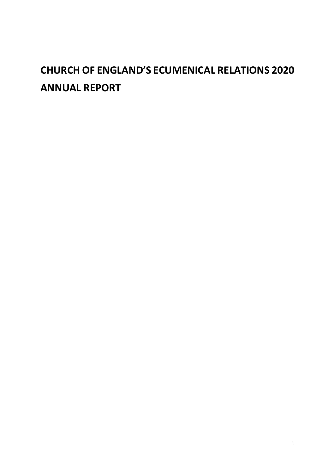# **CHURCH OF ENGLAND'S ECUMENICAL RELATIONS 2020 ANNUAL REPORT**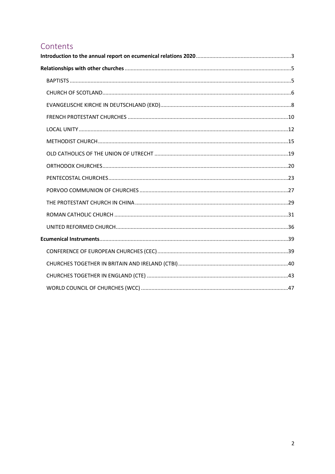## Contents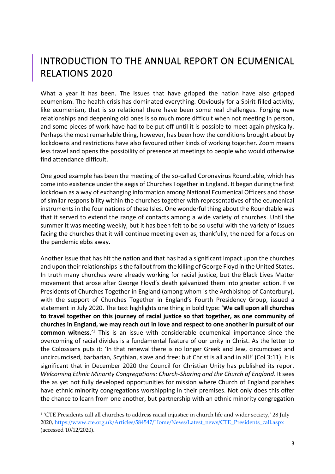## <span id="page-2-0"></span>INTRODUCTION TO THE ANNUAL REPORT ON ECUMENICAL RELATIONS 2020

What a year it has been. The issues that have gripped the nation have also gripped ecumenism. The health crisis has dominated everything. Obviously for a Spirit-filled activity, like ecumenism, that is so relational there have been some real challenges. Forging new relationships and deepening old ones is so much more difficult when not meeting in person, and some pieces of work have had to be put off until it is possible to meet again physically. Perhaps the most remarkable thing, however, has been how the conditions brought about by lockdowns and restrictions have also favoured other kinds of working together. Zoom means less travel and opens the possibility of presence at meetings to people who would otherwise find attendance difficult.

One good example has been the meeting of the so-called Coronavirus Roundtable, which has come into existence under the aegis of Churches Together in England. It began during the first lockdown as a way of exchanging information among National Ecumenical Officers and those of similar responsibility within the churches together with representatives of the ecumenical instruments in the four nations of these Isles. One wonderful thing about the Roundtable was that it served to extend the range of contacts among a wide variety of churches. Until the summer it was meeting weekly, but it has been felt to be so useful with the variety of issues facing the churches that it will continue meeting even as, thankfully, the need for a focus on the pandemic ebbs away.

Another issue that has hit the nation and that has had a significant impact upon the churches and upon their relationships is the fallout from the killing of George Floyd in the United States. In truth many churches were already working for racial justice, but the Black Lives Matter movement that arose after George Floyd's death galvanized them into greater action. Five Presidents of Churches Together in England (among whom is the Archbishop of Canterbury), with the support of Churches Together in England's Fourth Presidency Group, issued a statement in July 2020. The text highlights one thing in bold type: '**We call upon all churches to travel together on this journey of racial justice so that together, as one community of churches in England, we may reach out in love and respect to one another in pursuit of our common witness.**<sup>1</sup> This is an issue with considerable ecumenical importance since the overcoming of racial divides is a fundamental feature of our unity in Christ. As the letter to the Colossians puts it: 'In that renewal there is no longer Greek and Jew, circumcised and uncircumcised, barbarian, Scythian, slave and free; but Christ is all and in all!' (Col 3:11). It is significant that in December 2020 the Council for Christian Unity has published its report *Welcoming Ethnic Minority Congregations: Church-Sharing and the Church of England*. It sees the as yet not fully developed opportunities for mission where Church of England parishes have ethnic minority congregations worshipping in their premises. Not only does this offer the chance to learn from one another, but partnership with an ethnic minority congregation

<sup>1</sup> 'CTE Presidents call all churches to address racial injustice in church life and wider society,' 28 July 2020, [https://www.cte.org.uk/Articles/584547/Home/News/Latest\\_news/CTE\\_Presidents\\_call.aspx](https://www.cte.org.uk/Articles/584547/Home/News/Latest_news/CTE_Presidents_call.aspx) (accessed 10/12/2020).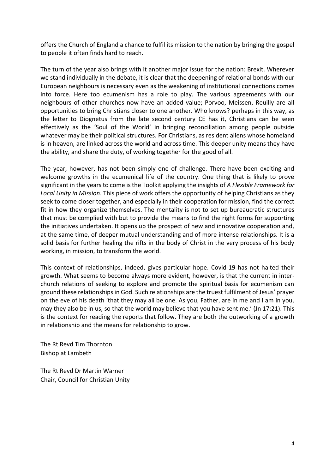offers the Church of England a chance to fulfil its mission to the nation by bringing the gospel to people it often finds hard to reach.

The turn of the year also brings with it another major issue for the nation: Brexit. Wherever we stand individually in the debate, it is clear that the deepening of relational bonds with our European neighbours is necessary even as the weakening of institutional connections comes into force. Here too ecumenism has a role to play. The various agreements with our neighbours of other churches now have an added value; Porvoo, Meissen, Reuilly are all opportunities to bring Christians closer to one another. Who knows? perhaps in this way, as the letter to Diognetus from the late second century CE has it, Christians can be seen effectively as the 'Soul of the World' in bringing reconciliation among people outside whatever may be their political structures. For Christians, as resident aliens whose homeland is in heaven, are linked across the world and across time. This deeper unity means they have the ability, and share the duty, of working together for the good of all.

The year, however, has not been simply one of challenge. There have been exciting and welcome growths in the ecumenical life of the country. One thing that is likely to prove significant in the years to come is the Toolkit applying the insights of *A Flexible Framework for Local Unity in Mission*. This piece of work offers the opportunity of helping Christians as they seek to come closer together, and especially in their cooperation for mission, find the correct fit in how they organize themselves. The mentality is not to set up bureaucratic structures that must be complied with but to provide the means to find the right forms for supporting the initiatives undertaken. It opens up the prospect of new and innovative cooperation and, at the same time, of deeper mutual understanding and of more intense relationships. It is a solid basis for further healing the rifts in the body of Christ in the very process of his body working, in mission, to transform the world.

This context of relationships, indeed, gives particular hope. Covid-19 has not halted their growth. What seems to become always more evident, however, is that the current in interchurch relations of seeking to explore and promote the spiritual basis for ecumenism can ground these relationships in God. Such relationships are the truest fulfilment of Jesus' prayer on the eve of his death 'that they may all be one. As you, Father, are in me and I am in you, may they also be in us, so that the world may believe that you have sent me.' (Jn 17:21). This is the context for reading the reports that follow. They are both the outworking of a growth in relationship and the means for relationship to grow.

The Rt Revd Tim Thornton Bishop at Lambeth

The Rt Revd Dr Martin Warner Chair, Council for Christian Unity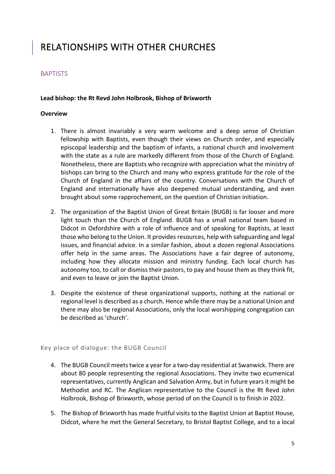## <span id="page-4-0"></span>RELATIONSHIPS WITH OTHER CHURCHES

## <span id="page-4-1"></span>BAPTISTS

#### **Lead bishop: the Rt Revd John Holbrook, Bishop of Brixworth**

#### **Overview**

- 1. There is almost invariably a very warm welcome and a deep sense of Christian fellowship with Baptists, even though their views on Church order, and especially episcopal leadership and the baptism of infants, a national church and involvement with the state as a rule are markedly different from those of the Church of England. Nonetheless, there are Baptists who recognize with appreciation what the ministry of bishops can bring to the Church and many who express gratitude for the role of the Church of England in the affairs of the country. Conversations with the Church of England and internationally have also deepened mutual understanding, and even brought about some rapprochement, on the question of Christian initiation.
- 2. The organization of the Baptist Union of Great Britain (BUGB) is far looser and more light touch than the Church of England. BUGB has a small national team based in Didcot in Oxfordshire with a role of influence and of speaking for Baptists, at least those who belong to the Union. It provides resources, help with safeguarding and legal issues, and financial advice. In a similar fashion, about a dozen regional Associations offer help in the same areas. The Associations have a fair degree of autonomy, including how they allocate mission and ministry funding. Each local church has autonomy too, to call or dismiss their pastors, to pay and house them as they think fit, and even to leave or join the Baptist Union.
- 3. Despite the existence of these organizational supports, nothing at the national or regional level is described as a church. Hence while there may be a national Union and there may also be regional Associations, only the local worshipping congregation can be described as 'church'.

#### Key place of dialogue: the BUGB Council

- 4. The BUGB Council meets twice a year for a two-day residential at Swanwick. There are about 80 people representing the regional Associations. They invite two ecumenical representatives, currently Anglican and Salvation Army, but in future yearsit might be Methodist and RC. The Anglican representative to the Council is the Rt Revd John Holbrook, Bishop of Brixworth, whose period of on the Council is to finish in 2022.
- 5. The Bishop of Brixworth has made fruitful visits to the Baptist Union at Baptist House, Didcot, where he met the General Secretary, to Bristol Baptist College, and to a local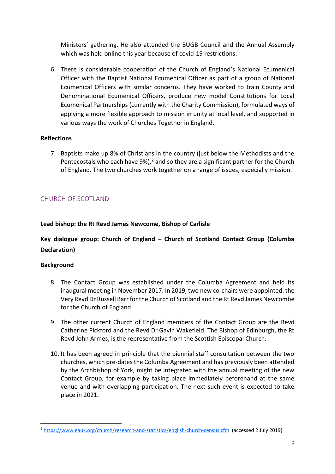Ministers' gathering. He also attended the BUGB Council and the Annual Assembly which was held online this year because of covid-19 restrictions.

6. There is considerable cooperation of the Church of England's National Ecumenical Officer with the Baptist National Ecumenical Officer as part of a group of National Ecumenical Officers with similar concerns. They have worked to train County and Denominational Ecumenical Officers, produce new model Constitutions for Local Ecumenical Partnerships (currently with the Charity Commission), formulated ways of applying a more flexible approach to mission in unity at local level, and supported in various ways the work of Churches Together in England.

#### **Reflections**

7. Baptists make up 8% of Christians in the country (just below the Methodists and the Pentecostals who each have  $9\%)$ ,<sup>2</sup> and so they are a significant partner for the Church of England. The two churches work together on a range of issues, especially mission.

## <span id="page-5-0"></span>CHURCH OF SCOTLAND

#### **Lead bishop: the Rt Revd James Newcome, Bishop of Carlisle**

## **Key dialogue group: Church of England – Church of Scotland Contact Group (Columba Declaration)**

#### **Background**

- 8. The Contact Group was established under the Columba Agreement and held its inaugural meeting in November 2017. In 2019, two new co-chairs were appointed: the Very Revd Dr Russell Barr for the Church of Scotland and the Rt Revd James Newcombe for the Church of England.
- 9. The other current Church of England members of the Contact Group are the Revd Catherine Pickford and the Revd Dr Gavin Wakefield. The Bishop of Edinburgh, the Rt Revd John Armes, is the representative from the Scottish Episcopal Church.
- 10. It has been agreed in principle that the biennial staff consultation between the two churches, which pre-dates the Columba Agreement and has previously been attended by the Archbishop of York, might be integrated with the annual meeting of the new Contact Group, for example by taking place immediately beforehand at the same venue and with overlapping participation. The next such event is expected to take place in 2021.

<sup>2</sup> <https://www.eauk.org/church/research-and-statistics/english-church-census.cfm>(accessed 2 July 2019)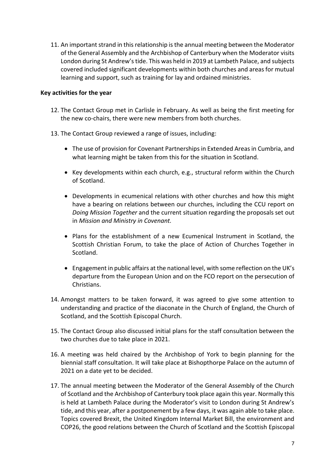11. An important strand in this relationship is the annual meeting between the Moderator of the General Assembly and the Archbishop of Canterbury when the Moderator visits London during St Andrew's tide. This was held in 2019 at Lambeth Palace, and subjects covered included significant developments within both churches and areas for mutual learning and support, such as training for lay and ordained ministries.

#### **Key activities for the year**

- 12. The Contact Group met in Carlisle in February. As well as being the first meeting for the new co-chairs, there were new members from both churches.
- 13. The Contact Group reviewed a range of issues, including:
	- The use of provision for Covenant Partnerships in Extended Areas in Cumbria, and what learning might be taken from this for the situation in Scotland.
	- Key developments within each church, e.g., structural reform within the Church of Scotland.
	- Developments in ecumenical relations with other churches and how this might have a bearing on relations between our churches, including the CCU report on *Doing Mission Together* and the current situation regarding the proposals set out in *Mission and Ministry in Covenant.*
	- Plans for the establishment of a new Ecumenical Instrument in Scotland, the Scottish Christian Forum, to take the place of Action of Churches Together in Scotland.
	- Engagement in public affairs at the national level, with some reflection on the UK's departure from the European Union and on the FCO report on the persecution of Christians.
- 14. Amongst matters to be taken forward, it was agreed to give some attention to understanding and practice of the diaconate in the Church of England, the Church of Scotland, and the Scottish Episcopal Church.
- 15. The Contact Group also discussed initial plans for the staff consultation between the two churches due to take place in 2021.
- 16. A meeting was held chaired by the Archbishop of York to begin planning for the biennial staff consultation. It will take place at Bishopthorpe Palace on the autumn of 2021 on a date yet to be decided.
- 17. The annual meeting between the Moderator of the General Assembly of the Church of Scotland and the Archbishop of Canterbury took place again this year. Normally this is held at Lambeth Palace during the Moderator's visit to London during St Andrew's tide, and this year, after a postponement by a few days, it was again able to take place. Topics covered Brexit, the United Kingdom Internal Market Bill, the environment and COP26, the good relations between the Church of Scotland and the Scottish Episcopal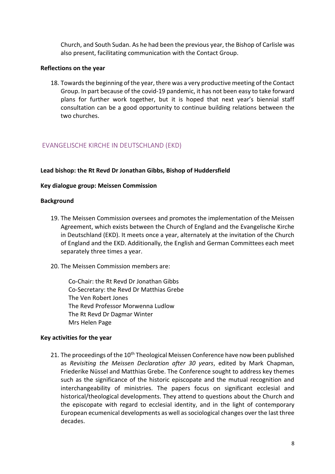Church, and South Sudan. As he had been the previous year, the Bishop of Carlisle was also present, facilitating communication with the Contact Group.

#### **Reflections on the year**

18. Towards the beginning of the year, there was a very productive meeting of the Contact Group. In part because of the covid-19 pandemic, it has not been easy to take forward plans for further work together, but it is hoped that next year's biennial staff consultation can be a good opportunity to continue building relations between the two churches.

## <span id="page-7-0"></span>EVANGELISCHE KIRCHE IN DEUTSCHLAND (EKD)

#### **Lead bishop: the Rt Revd Dr Jonathan Gibbs, Bishop of Huddersfield**

#### **Key dialogue group: Meissen Commission**

#### **Background**

- 19. The Meissen Commission oversees and promotes the implementation of the Meissen Agreement, which exists between the Church of England and the Evangelische Kirche in Deutschland (EKD). It meets once a year, alternately at the invitation of the Church of England and the EKD. Additionally, the English and German Committees each meet separately three times a year.
- 20. The Meissen Commission members are:

Co-Chair: the Rt Revd Dr Jonathan Gibbs Co-Secretary: the Revd Dr Matthias Grebe The Ven Robert Jones The Revd Professor Morwenna Ludlow The Rt Revd Dr Dagmar Winter Mrs Helen Page

#### **Key activities for the year**

21. The proceedings of the 10<sup>th</sup> Theological Meissen Conference have now been published as *Revisiting the Meissen Declaration after 30 years*, edited by Mark Chapman, Friederike Nüssel and Matthias Grebe. The Conference sought to address key themes such as the significance of the historic episcopate and the mutual recognition and interchangeability of ministries. The papers focus on significant ecclesial and historical/theological developments. They attend to questions about the Church and the episcopate with regard to ecclesial identity, and in the light of contemporary European ecumenical developments as well as sociological changes over the last three decades.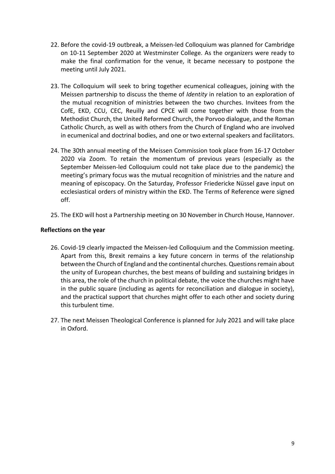- 22. Before the covid-19 outbreak, a Meissen-led Colloquium was planned for Cambridge on 10-11 September 2020 at Westminster College. As the organizers were ready to make the final confirmation for the venue, it became necessary to postpone the meeting until July 2021.
- 23. The Colloquium will seek to bring together ecumenical colleagues, joining with the Meissen partnership to discuss the theme of *Identity* in relation to an exploration of the mutual recognition of ministries between the two churches. Invitees from the CofE, EKD, CCU, CEC, Reuilly and CPCE will come together with those from the Methodist Church, the United Reformed Church, the Porvoo dialogue, and the Roman Catholic Church, as well as with others from the Church of England who are involved in ecumenical and doctrinal bodies, and one or two external speakers and facilitators.
- 24. The 30th annual meeting of the Meissen Commission took place from 16-17 October 2020 via Zoom. To retain the momentum of previous years (especially as the September Meissen-led Colloquium could not take place due to the pandemic) the meeting's primary focus was the mutual recognition of ministries and the nature and meaning of episcopacy. On the Saturday, Professor Friedericke Nüssel gave input on ecclesiastical orders of ministry within the EKD. The Terms of Reference were signed off.
- 25. The EKD will host a Partnership meeting on 30 November in Church House, Hannover.

## **Reflections on the year**

- 26. Covid-19 clearly impacted the Meissen-led Colloquium and the Commission meeting. Apart from this, Brexit remains a key future concern in terms of the relationship between the Church of England and the continental churches. Questions remain about the unity of European churches, the best means of building and sustaining bridges in this area, the role of the church in political debate, the voice the churches might have in the public square (including as agents for reconciliation and dialogue in society), and the practical support that churches might offer to each other and society during this turbulent time.
- 27. The next Meissen Theological Conference is planned for July 2021 and will take place in Oxford.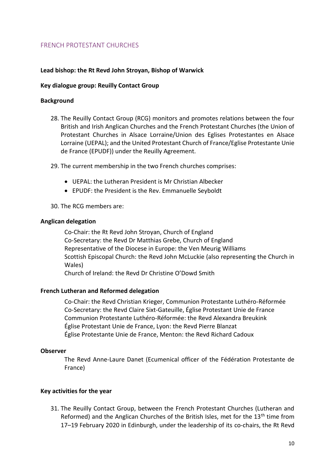#### <span id="page-9-0"></span>FRENCH PROTESTANT CHURCHES

#### **Lead bishop: the Rt Revd John Stroyan, Bishop of Warwick**

#### **Key dialogue group: Reuilly Contact Group**

#### **Background**

- 28. The Reuilly Contact Group (RCG) monitors and promotes relations between the four British and Irish Anglican Churches and the French Protestant Churches (the Union of Protestant Churches in Alsace Lorraine/Union des Eglises Protestantes en Alsace Lorraine (UEPAL); and the United Protestant Church of France/Eglise Protestante Unie de France (EPUDF)) under the Reuilly Agreement.
- 29. The current membership in the two French churches comprises:
	- UEPAL: the Lutheran President is Mr Christian Albecker
	- EPUDF: the President is the Rev. Emmanuelle Seyboldt

#### 30. The RCG members are:

#### **Anglican delegation**

Co-Chair: the Rt Revd John Stroyan, Church of England Co-Secretary: the Revd Dr Matthias Grebe, Church of England Representative of the Diocese in Europe: the Ven Meurig Williams Scottish Episcopal Church: the Revd John McLuckie (also representing the Church in Wales)

Church of Ireland: the Revd Dr Christine O'Dowd Smith

#### **French Lutheran and Reformed delegation**

Co-Chair: the Revd Christian Krieger, Communion Protestante Luthéro-Réformée Co-Secretary: the Revd Claire Sixt-Gateuille, Église Protestant Unie de France Communion Protestante Luthéro-Réformée: the Revd Alexandra Breukink Église Protestant Unie de France, Lyon: the Revd Pierre Blanzat Église Protestante Unie de France, Menton: the Revd Richard Cadoux

#### **Observer**

The Revd Anne-Laure Danet (Ecumenical officer of the Fédération Protestante de France)

#### **Key activities for the year**

31. The Reuilly Contact Group, between the French Protestant Churches (Lutheran and Reformed) and the Anglican Churches of the British Isles, met for the 13<sup>th</sup> time from 17–19 February 2020 in Edinburgh, under the leadership of its co-chairs, the Rt Revd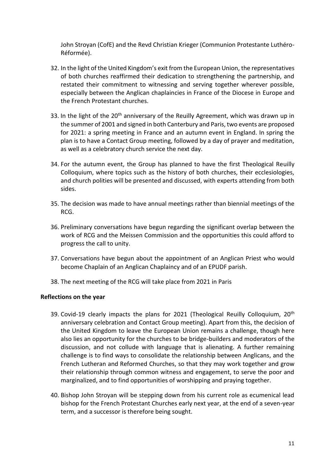John Stroyan (CofE) and the Revd Christian Krieger (Communion Protestante Luthéro-Réformée).

- 32. In the light of the United Kingdom's exit from the European Union, the representatives of both churches reaffirmed their dedication to strengthening the partnership, and restated their commitment to witnessing and serving together wherever possible, especially between the Anglican chaplaincies in France of the Diocese in Europe and the French Protestant churches.
- 33. In the light of the 20<sup>th</sup> anniversary of the Reuilly Agreement, which was drawn up in the summer of 2001 and signed in both Canterbury and Paris, two events are proposed for 2021: a spring meeting in France and an autumn event in England. In spring the plan is to have a Contact Group meeting, followed by a day of prayer and meditation, as well as a celebratory church service the next day.
- 34. For the autumn event, the Group has planned to have the first Theological Reuilly Colloquium, where topics such as the history of both churches, their ecclesiologies, and church polities will be presented and discussed, with experts attending from both sides.
- 35. The decision was made to have annual meetings rather than biennial meetings of the RCG.
- 36. Preliminary conversations have begun regarding the significant overlap between the work of RCG and the Meissen Commission and the opportunities this could afford to progress the call to unity.
- 37. Conversations have begun about the appointment of an Anglican Priest who would become Chaplain of an Anglican Chaplaincy and of an EPUDF parish.
- 38. The next meeting of the RCG will take place from 2021 in Paris

#### **Reflections on the year**

- 39. Covid-19 clearly impacts the plans for 2021 (Theological Reuilly Colloquium, 20<sup>th</sup> anniversary celebration and Contact Group meeting). Apart from this, the decision of the United Kingdom to leave the European Union remains a challenge, though here also lies an opportunity for the churches to be bridge-builders and moderators of the discussion, and not collude with language that is alienating. A further remaining challenge is to find ways to consolidate the relationship between Anglicans, and the French Lutheran and Reformed Churches, so that they may work together and grow their relationship through common witness and engagement, to serve the poor and marginalized, and to find opportunities of worshipping and praying together.
- 40. Bishop John Stroyan will be stepping down from his current role as ecumenical lead bishop for the French Protestant Churches early next year, at the end of a seven-year term, and a successor is therefore being sought.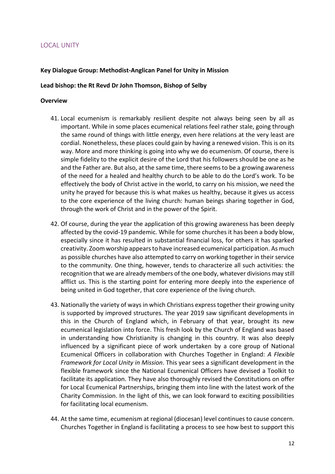## <span id="page-11-0"></span>LOCAL UNITY

#### **Key Dialogue Group: Methodist-Anglican Panel for Unity in Mission**

#### **Lead bishop: the Rt Revd Dr John Thomson, Bishop of Selby**

#### **Overview**

- 41. Local ecumenism is remarkably resilient despite not always being seen by all as important. While in some places ecumenical relations feel rather stale, going through the same round of things with little energy, even here relations at the very least are cordial. Nonetheless, these places could gain by having a renewed vision. This is on its way. More and more thinking is going into why we do ecumenism. Of course, there is simple fidelity to the explicit desire of the Lord that his followers should be one as he and the Father are. But also, at the same time, there seems to be a growing awareness of the need for a healed and healthy church to be able to do the Lord's work. To be effectively the body of Christ active in the world, to carry on his mission, we need the unity he prayed for because this is what makes us healthy, because it gives us access to the core experience of the living church: human beings sharing together in God, through the work of Christ and in the power of the Spirit.
- 42. Of course, during the year the application of this growing awareness has been deeply affected by the covid-19 pandemic. While for some churches it has been a body blow, especially since it has resulted in substantial financial loss, for others it has sparked creativity. Zoom worship appears to have increased ecumenical participation. As much as possible churches have also attempted to carry on working together in their service to the community. One thing, however, tends to characterize all such activities: the recognition that we are already members of the one body, whatever divisions may still afflict us. This is the starting point for entering more deeply into the experience of being united in God together, that core experience of the living church.
- 43. Nationally the variety of ways in which Christians express together their growing unity is supported by improved structures. The year 2019 saw significant developments in this in the Church of England which, in February of that year, brought its new ecumenical legislation into force. This fresh look by the Church of England was based in understanding how Christianity is changing in this country. It was also deeply influenced by a significant piece of work undertaken by a core group of National Ecumenical Officers in collaboration with Churches Together in England: *A Flexible Framework for Local Unity in Mission*. This year sees a significant development in the flexible framework since the National Ecumenical Officers have devised a Toolkit to facilitate its application. They have also thoroughly revised the Constitutions on offer for Local Ecumenical Partnerships, bringing them into line with the latest work of the Charity Commission. In the light of this, we can look forward to exciting possibilities for facilitating local ecumenism.
- 44. At the same time, ecumenism at regional (diocesan) level continues to cause concern. Churches Together in England is facilitating a process to see how best to support this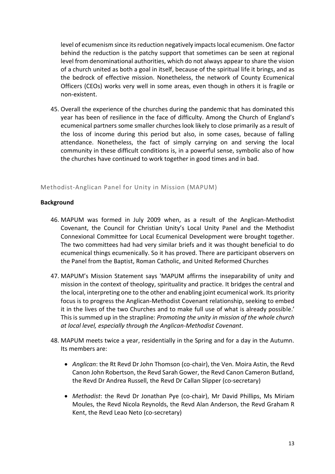level of ecumenism since its reduction negatively impacts local ecumenism. One factor behind the reduction is the patchy support that sometimes can be seen at regional level from denominational authorities, which do not always appear to share the vision of a church united as both a goal in itself, because of the spiritual life it brings, and as the bedrock of effective mission. Nonetheless, the network of County Ecumenical Officers (CEOs) works very well in some areas, even though in others it is fragile or non-existent.

45. Overall the experience of the churches during the pandemic that has dominated this year has been of resilience in the face of difficulty. Among the Church of England's ecumenical partners some smaller churches look likely to close primarily as a result of the loss of income during this period but also, in some cases, because of falling attendance. Nonetheless, the fact of simply carrying on and serving the local community in these difficult conditions is, in a powerful sense, symbolic also of how the churches have continued to work together in good times and in bad.

#### Methodist-Anglican Panel for Unity in Mission (MAPUM)

#### **Background**

- 46. MAPUM was formed in July 2009 when, as a result of the Anglican-Methodist Covenant, the Council for Christian Unity's Local Unity Panel and the Methodist Connexional Committee for Local Ecumenical Development were brought together. The two committees had had very similar briefs and it was thought beneficial to do ecumenical things ecumenically. So it has proved. There are participant observers on the Panel from the Baptist, Roman Catholic, and United Reformed Churches
- 47. MAPUM's Mission Statement says 'MAPUM affirms the inseparability of unity and mission in the context of theology, spirituality and practice. It bridges the central and the local, interpreting one to the other and enabling joint ecumenical work. Its priority focus is to progress the Anglican-Methodist Covenant relationship, seeking to embed it in the lives of the two Churches and to make full use of what is already possible.' This is summed up in the strapline: *Promoting the unity in mission of the whole church at local level, especially through the Anglican-Methodist Covenant*.
- 48. MAPUM meets twice a year, residentially in the Spring and for a day in the Autumn. Its members are:
	- *Anglican*: the Rt Revd Dr John Thomson (co-chair), the Ven. Moira Astin, the Revd Canon John Robertson, the Revd Sarah Gower, the Revd Canon Cameron Butland, the Revd Dr Andrea Russell, the Revd Dr Callan Slipper (co-secretary)
	- *Methodist*: the Revd Dr Jonathan Pye (co-chair), Mr David Phillips, Ms Miriam Moules, the Revd Nicola Reynolds, the Revd Alan Anderson, the Revd Graham R Kent, the Revd Leao Neto (co-secretary)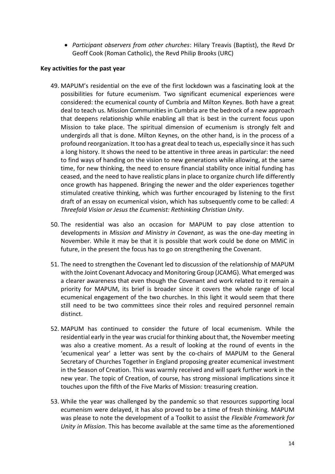• *Participant observers from other churches*: Hilary Treavis (Baptist), the Revd Dr Geoff Cook (Roman Catholic), the Revd Philip Brooks (URC)

#### **Key activities for the past year**

- 49. MAPUM's residential on the eve of the first lockdown was a fascinating look at the possibilities for future ecumenism. Two significant ecumenical experiences were considered: the ecumenical county of Cumbria and Milton Keynes. Both have a great deal to teach us. Mission Communities in Cumbria are the bedrock of a new approach that deepens relationship while enabling all that is best in the current focus upon Mission to take place. The spiritual dimension of ecumenism is strongly felt and undergirds all that is done. Milton Keynes, on the other hand, is in the process of a profound reorganization. It too has a great deal to teach us, especially since it has such a long history. It shows the need to be attentive in three areas in particular: the need to find ways of handing on the vision to new generations while allowing, at the same time, for new thinking, the need to ensure financial stability once initial funding has ceased, and the need to have realistic plans in place to organize church life differently once growth has happened. Bringing the newer and the older experiences together stimulated creative thinking, which was further encouraged by listening to the first draft of an essay on ecumenical vision, which has subsequently come to be called: *A Threefold Vision or Jesus the Ecumenist: Rethinking Christian Unity*.
- 50. The residential was also an occasion for MAPUM to pay close attention to developments in *Mission and Ministry in Covenant*, as was the one-day meeting in November. While it may be that it is possible that work could be done on MMiC in future, in the present the focus has to go on strengthening the Covenant.
- 51. The need to strengthen the Covenant led to discussion of the relationship of MAPUM with the Joint Covenant Advocacy and Monitoring Group (JCAMG). What emerged was a clearer awareness that even though the Covenant and work related to it remain a priority for MAPUM, its brief is broader since it covers the whole range of local ecumenical engagement of the two churches. In this light it would seem that there still need to be two committees since their roles and required personnel remain distinct.
- 52. MAPUM has continued to consider the future of local ecumenism. While the residential early in the year was crucial for thinking about that, the November meeting was also a creative moment. As a result of looking at the round of events in the 'ecumenical year' a letter was sent by the co-chairs of MAPUM to the General Secretary of Churches Together in England proposing greater ecumenical investment in the Season of Creation. This was warmly received and will spark further work in the new year. The topic of Creation, of course, has strong missional implications since it touches upon the fifth of the Five Marks of Mission: treasuring creation.
- 53. While the year was challenged by the pandemic so that resources supporting local ecumenism were delayed, it has also proved to be a time of fresh thinking. MAPUM was please to note the development of a Toolkit to assist the *Flexible Framework for Unity in Mission*. This has become available at the same time as the aforementioned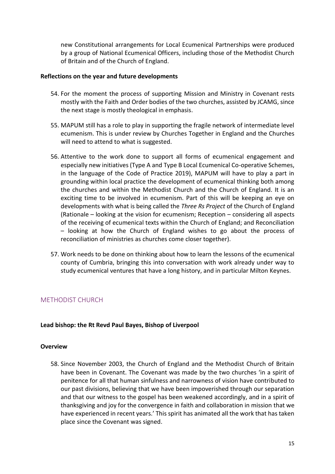new Constitutional arrangements for Local Ecumenical Partnerships were produced by a group of National Ecumenical Officers, including those of the Methodist Church of Britain and of the Church of England.

#### **Reflections on the year and future developments**

- 54. For the moment the process of supporting Mission and Ministry in Covenant rests mostly with the Faith and Order bodies of the two churches, assisted by JCAMG, since the next stage is mostly theological in emphasis.
- 55. MAPUM still has a role to play in supporting the fragile network of intermediate level ecumenism. This is under review by Churches Together in England and the Churches will need to attend to what is suggested.
- 56. Attentive to the work done to support all forms of ecumenical engagement and especially new initiatives (Type A and Type B Local Ecumenical Co-operative Schemes, in the language of the Code of Practice 2019), MAPUM will have to play a part in grounding within local practice the development of ecumenical thinking both among the churches and within the Methodist Church and the Church of England. It is an exciting time to be involved in ecumenism. Part of this will be keeping an eye on developments with what is being called the *Three Rs Project* of the Church of England (Rationale – looking at the vision for ecumenism; Reception – considering all aspects of the receiving of ecumenical texts within the Church of England; and Reconciliation – looking at how the Church of England wishes to go about the process of reconciliation of ministries as churches come closer together).
- 57. Work needs to be done on thinking about how to learn the lessons of the ecumenical county of Cumbria, bringing this into conversation with work already under way to study ecumenical ventures that have a long history, and in particular Milton Keynes.

## <span id="page-14-0"></span>METHODIST CHURCH

#### **Lead bishop: the Rt Revd Paul Bayes, Bishop of Liverpool**

#### **Overview**

58. Since November 2003, the Church of England and the Methodist Church of Britain have been in Covenant. The Covenant was made by the two churches 'in a spirit of penitence for all that human sinfulness and narrowness of vision have contributed to our past divisions, believing that we have been impoverished through our separation and that our witness to the gospel has been weakened accordingly, and in a spirit of thanksgiving and joy for the convergence in faith and collaboration in mission that we have experienced in recent years.' This spirit has animated all the work that has taken place since the Covenant was signed.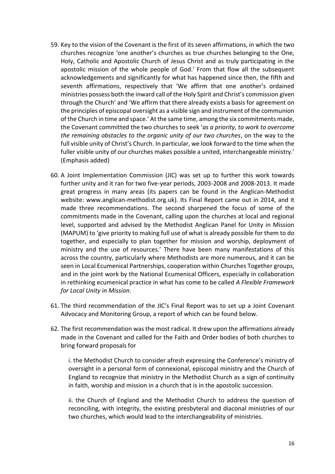- 59. Key to the vision of the Covenant is the first of its seven affirmations, in which the two churches recognize 'one another's churches as true churches belonging to the One, Holy, Catholic and Apostolic Church of Jesus Christ and as truly participating in the apostolic mission of the whole people of God.' From that flow all the subsequent acknowledgements and significantly for what has happened since then, the fifth and seventh affirmations, respectively that 'We affirm that one another's ordained ministries possess both the inward call of the Holy Spirit and Christ's commission given through the Church' and 'We affirm that there already exists a basis for agreement on the principles of episcopal oversight as a visible sign and instrument of the communion of the Church in time and space.' At the same time, among the six commitments made, the Covenant committed the two churches to seek '*as a priority, to work to overcome the remaining obstacles to the organic unity of our two churches*, on the way to the full visible unity of Christ's Church. In particular, we look forward to the time when the fuller visible unity of our churches makes possible a united, interchangeable ministry.' (Emphasis added)
- 60. A Joint Implementation Commission (JIC) was set up to further this work towards further unity and it ran for two five-year periods, 2003-2008 and 2008-2013. It made great progress in many areas (its papers can be found in the Anglican-Methodist website: www.anglican-methodist.org.uk). Its Final Report came out in 2014, and it made three recommendations. The second sharpened the focus of some of the commitments made in the Covenant, calling upon the churches at local and regional level, supported and advised by the Methodist Anglican Panel for Unity in Mission (MAPUM) to 'give priority to making full use of what is already possible for them to do together, and especially to plan together for mission and worship, deployment of ministry and the use of resources.' There have been many manifestations of this across the country, particularly where Methodists are more numerous, and it can be seen in Local Ecumenical Partnerships, cooperation within Churches Together groups, and in the joint work by the National Ecumenical Officers, especially in collaboration in rethinking ecumenical practice in what has come to be called *A Flexible Framework for Local Unity in Mission*.
- 61. The third recommendation of the JIC's Final Report was to set up a Joint Covenant Advocacy and Monitoring Group, a report of which can be found below.
- 62. The first recommendation was the most radical. It drew upon the affirmations already made in the Covenant and called for the Faith and Order bodies of both churches to bring forward proposals for

i. the Methodist Church to consider afresh expressing the Conference's ministry of oversight in a personal form of connexional, episcopal ministry and the Church of England to recognize that ministry in the Methodist Church as a sign of continuity in faith, worship and mission in a church that is in the apostolic succession.

ii. the Church of England and the Methodist Church to address the question of reconciling, with integrity, the existing presbyteral and diaconal ministries of our two churches, which would lead to the interchangeability of ministries.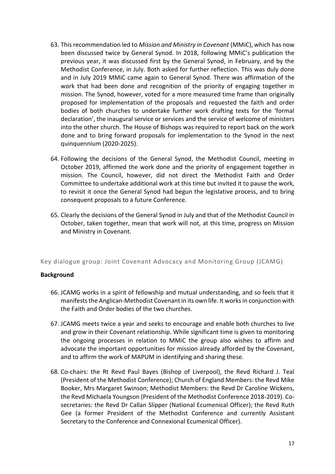- 63. This recommendation led to *Mission and Ministry in Covenant* (MMiC), which has now been discussed twice by General Synod. In 2018, following MMiC's publication the previous year, it was discussed first by the General Synod, in February, and by the Methodist Conference, in July. Both asked for further reflection. This was duly done and in July 2019 MMiC came again to General Synod. There was affirmation of the work that had been done and recognition of the priority of engaging together in mission. The Synod, however, voted for a more measured time frame than originally proposed for implementation of the proposals and requested the faith and order bodies of both churches to undertake further work drafting texts for the 'formal declaration', the inaugural service or services and the service of welcome of ministers into the other church. The House of Bishops was required to report back on the work done and to bring forward proposals for implementation to the Synod in the next quinquennium (2020-2025).
- 64. Following the decisions of the General Synod, the Methodist Council, meeting in October 2019, affirmed the work done and the priority of engagement together in mission. The Council, however, did not direct the Methodist Faith and Order Committee to undertake additional work at this time but invited it to pause the work, to revisit it once the General Synod had begun the legislative process, and to bring consequent proposals to a future Conference.
- 65. Clearly the decisions of the General Synod in July and that of the Methodist Council in October, taken together, mean that work will not, at this time, progress on Mission and Ministry in Covenant.

## Key dialogue group: Joint Covenant Advocacy and Monitoring Group (JCAMG)

#### **Background**

- 66. JCAMG works in a spirit of fellowship and mutual understanding, and so feels that it manifests the Anglican-Methodist Covenant in its own life. It works in conjunction with the Faith and Order bodies of the two churches.
- 67. JCAMG meets twice a year and seeks to encourage and enable both churches to live and grow in their Covenant relationship. While significant time is given to monitoring the ongoing processes in relation to MMiC the group also wishes to affirm and advocate the important opportunities for mission already afforded by the Covenant, and to affirm the work of MAPUM in identifying and sharing these.
- 68. Co-chairs: the Rt Revd Paul Bayes (Bishop of Liverpool), the Revd Richard J. Teal (President of the Methodist Conference); Church of England Members: the Revd Mike Booker, Mrs Margaret Swinson; Methodist Members: the Revd Dr Caroline Wickens, the Revd Michaela Youngson (President of the Methodist Conference 2018-2019). Cosecretaries: the Revd Dr Callan Slipper (National Ecumenical Officer); the Revd Ruth Gee (a former President of the Methodist Conference and currently Assistant Secretary to the Conference and Connexional Ecumenical Officer).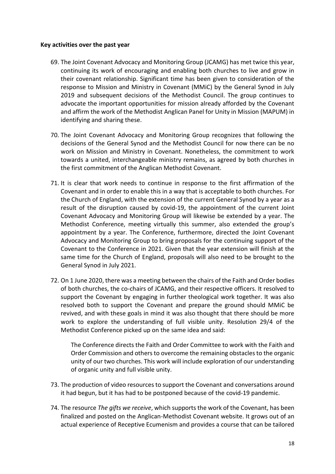#### **Key activities over the past year**

- 69. The Joint Covenant Advocacy and Monitoring Group (JCAMG) has met twice this year, continuing its work of encouraging and enabling both churches to live and grow in their covenant relationship. Significant time has been given to consideration of the response to Mission and Ministry in Covenant (MMiC) by the General Synod in July 2019 and subsequent decisions of the Methodist Council. The group continues to advocate the important opportunities for mission already afforded by the Covenant and affirm the work of the Methodist Anglican Panel for Unity in Mission (MAPUM) in identifying and sharing these.
- 70. The Joint Covenant Advocacy and Monitoring Group recognizes that following the decisions of the General Synod and the Methodist Council for now there can be no work on Mission and Ministry in Covenant. Nonetheless, the commitment to work towards a united, interchangeable ministry remains, as agreed by both churches in the first commitment of the Anglican Methodist Covenant.
- 71. It is clear that work needs to continue in response to the first affirmation of the Covenant and in order to enable this in a way that is acceptable to both churches. For the Church of England, with the extension of the current General Synod by a year as a result of the disruption caused by covid-19, the appointment of the current Joint Covenant Advocacy and Monitoring Group will likewise be extended by a year. The Methodist Conference, meeting virtually this summer, also extended the group's appointment by a year. The Conference, furthermore, directed the Joint Covenant Advocacy and Monitoring Group to bring proposals for the continuing support of the Covenant to the Conference in 2021. Given that the year extension will finish at the same time for the Church of England, proposals will also need to be brought to the General Synod in July 2021.
- 72. On 1 June 2020, there was a meeting between the chairs of the Faith and Order bodies of both churches, the co-chairs of JCAMG, and their respective officers. It resolved to support the Covenant by engaging in further theological work together. It was also resolved both to support the Covenant and prepare the ground should MMiC be revived, and with these goals in mind it was also thought that there should be more work to explore the understanding of full visible unity. Resolution 29/4 of the Methodist Conference picked up on the same idea and said:

The Conference directs the Faith and Order Committee to work with the Faith and Order Commission and others to overcome the remaining obstacles to the organic unity of our two churches. This work will include exploration of our understanding of organic unity and full visible unity.

- 73. The production of video resources to support the Covenant and conversations around it had begun, but it has had to be postponed because of the covid-19 pandemic.
- 74. The resource *The gifts we receive*, which supports the work of the Covenant, has been finalized and posted on the Anglican-Methodist Covenant website. It grows out of an actual experience of Receptive Ecumenism and provides a course that can be tailored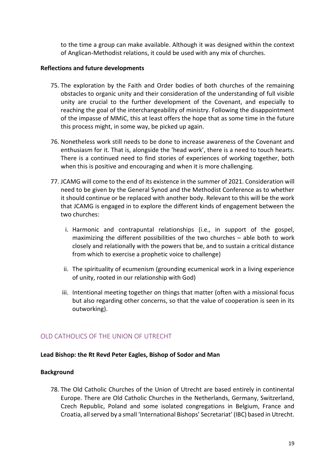to the time a group can make available. Although it was designed within the context of Anglican-Methodist relations, it could be used with any mix of churches.

#### **Reflections and future developments**

- 75. The exploration by the Faith and Order bodies of both churches of the remaining obstacles to organic unity and their consideration of the understanding of full visible unity are crucial to the further development of the Covenant, and especially to reaching the goal of the interchangeability of ministry. Following the disappointment of the impasse of MMiC, this at least offers the hope that as some time in the future this process might, in some way, be picked up again.
- 76. Nonetheless work still needs to be done to increase awareness of the Covenant and enthusiasm for it. That is, alongside the 'head work', there is a need to touch hearts. There is a continued need to find stories of experiences of working together, both when this is positive and encouraging and when it is more challenging.
- 77. JCAMG will come to the end of its existence in the summer of 2021. Consideration will need to be given by the General Synod and the Methodist Conference as to whether it should continue or be replaced with another body. Relevant to this will be the work that JCAMG is engaged in to explore the different kinds of engagement between the two churches:
	- i. Harmonic and contrapuntal relationships (i.e., in support of the gospel, maximizing the different possibilities of the two churches – able both to work closely and relationally with the powers that be, and to sustain a critical distance from which to exercise a prophetic voice to challenge)
	- ii. The spirituality of ecumenism (grounding ecumenical work in a living experience of unity, rooted in our relationship with God)
	- iii. Intentional meeting together on things that matter (often with a missional focus but also regarding other concerns, so that the value of cooperation is seen in its outworking).

## <span id="page-18-0"></span>OLD CATHOLICS OF THE UNION OF UTRECHT

#### **Lead Bishop: the Rt Revd Peter Eagles, Bishop of Sodor and Man**

#### **Background**

78. The Old Catholic Churches of the Union of Utrecht are based entirely in continental Europe. There are Old Catholic Churches in the Netherlands, Germany, Switzerland, Czech Republic, Poland and some isolated congregations in Belgium, France and Croatia, allserved by a small 'International Bishops' Secretariat' (IBC) based in Utrecht.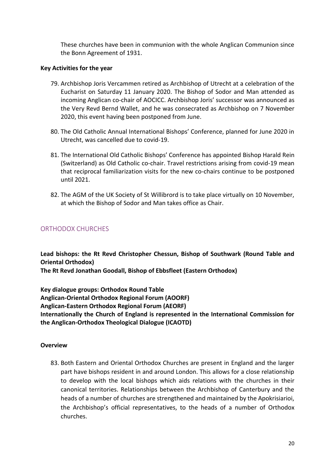These churches have been in communion with the whole Anglican Communion since the Bonn Agreement of 1931.

## **Key Activities for the year**

- 79. Archbishop Joris Vercammen retired as Archbishop of Utrecht at a celebration of the Eucharist on Saturday 11 January 2020. The Bishop of Sodor and Man attended as incoming Anglican co-chair of AOCICC. Archbishop Joris' successor was announced as the Very Revd Bernd Wallet, and he was consecrated as Archbishop on 7 November 2020, this event having been postponed from June.
- 80. The Old Catholic Annual International Bishops' Conference, planned for June 2020 in Utrecht, was cancelled due to covid-19.
- 81. The International Old Catholic Bishops' Conference has appointed Bishop Harald Rein (Switzerland) as Old Catholic co-chair. Travel restrictions arising from covid-19 mean that reciprocal familiarization visits for the new co-chairs continue to be postponed until 2021.
- 82. The AGM of the UK Society of St Willibrord is to take place virtually on 10 November, at which the Bishop of Sodor and Man takes office as Chair.

## <span id="page-19-0"></span>ORTHODOX CHURCHES

**Lead bishops: the Rt Revd Christopher Chessun, Bishop of Southwark (Round Table and Oriental Orthodox)**

**The Rt Revd Jonathan Goodall, Bishop of Ebbsfleet (Eastern Orthodox)**

**Key dialogue groups: Orthodox Round Table Anglican-Oriental Orthodox Regional Forum (AOORF) Anglican-Eastern Orthodox Regional Forum (AEORF) Internationally the Church of England is represented in the International Commission for the Anglican-Orthodox Theological Dialogue (ICAOTD)**

#### **Overview**

83. Both Eastern and Oriental Orthodox Churches are present in England and the larger part have bishops resident in and around London. This allows for a close relationship to develop with the local bishops which aids relations with the churches in their canonical territories. Relationships between the Archbishop of Canterbury and the heads of a number of churches are strengthened and maintained by the Apokrisiarioi, the Archbishop's official representatives, to the heads of a number of Orthodox churches.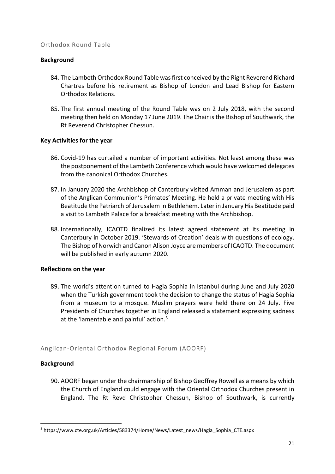#### Orthodox Round Table

#### **Background**

- 84. The Lambeth Orthodox Round Table was first conceived by the Right Reverend Richard Chartres before his retirement as Bishop of London and Lead Bishop for Eastern Orthodox Relations.
- 85. The first annual meeting of the Round Table was on 2 July 2018, with the second meeting then held on Monday 17 June 2019. The Chair is the Bishop of Southwark, the Rt Reverend Christopher Chessun.

#### **Key Activities for the year**

- 86. Covid-19 has curtailed a number of important activities. Not least among these was the postponement of the Lambeth Conference which would have welcomed delegates from the canonical Orthodox Churches.
- 87. In January 2020 the Archbishop of Canterbury visited Amman and Jerusalem as part of the Anglican Communion's Primates' Meeting. He held a private meeting with His Beatitude the Patriarch of Jerusalem in Bethlehem. Later in January His Beatitude paid a visit to Lambeth Palace for a breakfast meeting with the Archbishop.
- 88. Internationally, ICAOTD finalized its latest agreed statement at its meeting in Canterbury in October 2019. 'Stewards of Creation' deals with questions of ecology. The Bishop of Norwich and Canon Alison Joyce are members of ICAOTD. The document will be published in early autumn 2020.

#### **Reflections on the year**

89. The world's attention turned to Hagia Sophia in Istanbul during June and July 2020 when the Turkish government took the decision to change the status of Hagia Sophia from a museum to a mosque. Muslim prayers were held there on 24 July. Five Presidents of Churches together in England released a statement expressing sadness at the 'lamentable and painful' action. $3$ 

## Anglican-Oriental Orthodox Regional Forum (AOORF)

#### **Background**

90. AOORF began under the chairmanship of Bishop Geoffrey Rowell as a means by which the Church of England could engage with the Oriental Orthodox Churches present in England. The Rt Revd Christopher Chessun, Bishop of Southwark, is currently

<sup>3</sup> https://www.cte.org.uk/Articles/583374/Home/News/Latest\_news/Hagia\_Sophia\_CTE.aspx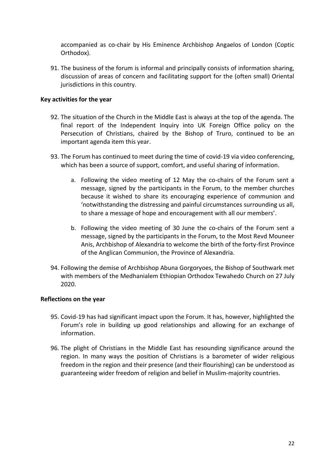accompanied as co-chair by His Eminence Archbishop Angaelos of London (Coptic Orthodox).

91. The business of the forum is informal and principally consists of information sharing, discussion of areas of concern and facilitating support for the (often small) Oriental jurisdictions in this country.

#### **Key activities for the year**

- 92. The situation of the Church in the Middle East is always at the top of the agenda. The final report of the Independent Inquiry into UK Foreign Office policy on the Persecution of Christians, chaired by the Bishop of Truro, continued to be an important agenda item this year.
- 93. The Forum has continued to meet during the time of covid-19 via video conferencing, which has been a source of support, comfort, and useful sharing of information.
	- a. Following the video meeting of 12 May the co-chairs of the Forum sent a message, signed by the participants in the Forum, to the member churches because it wished to share its encouraging experience of communion and 'notwithstanding the distressing and painful circumstances surrounding us all, to share a message of hope and encouragement with all our members'.
	- b. Following the video meeting of 30 June the co-chairs of the Forum sent a message, signed by the participants in the Forum, to the Most Revd Mouneer Anis, Archbishop of Alexandria to welcome the birth of the forty-first Province of the Anglican Communion, the Province of Alexandria.
- 94. Following the demise of Archbishop Abuna Gorgoryoes, the Bishop of Southwark met with members of the Medhanialem Ethiopian Orthodox Tewahedo Church on 27 July 2020.

#### **Reflections on the year**

- 95. Covid-19 has had significant impact upon the Forum. It has, however, highlighted the Forum's role in building up good relationships and allowing for an exchange of information.
- 96. The plight of Christians in the Middle East has resounding significance around the region. In many ways the position of Christians is a barometer of wider religious freedom in the region and their presence (and their flourishing) can be understood as guaranteeing wider freedom of religion and belief in Muslim-majority countries.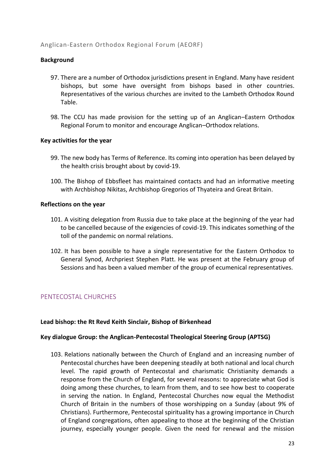#### Anglican-Eastern Orthodox Regional Forum (AEORF)

#### **Background**

- 97. There are a number of Orthodox jurisdictions present in England. Many have resident bishops, but some have oversight from bishops based in other countries. Representatives of the various churches are invited to the Lambeth Orthodox Round Table.
- 98. The CCU has made provision for the setting up of an Anglican–Eastern Orthodox Regional Forum to monitor and encourage Anglican–Orthodox relations.

#### **Key activities for the year**

- 99. The new body has Terms of Reference. Its coming into operation has been delayed by the health crisis brought about by covid-19.
- 100. The Bishop of Ebbsfleet has maintained contacts and had an informative meeting with Archbishop Nikitas, Archbishop Gregorios of Thyateira and Great Britain.

#### **Reflections on the year**

- 101. A visiting delegation from Russia due to take place at the beginning of the year had to be cancelled because of the exigencies of covid-19. This indicates something of the toll of the pandemic on normal relations.
- 102. It has been possible to have a single representative for the Eastern Orthodox to General Synod, Archpriest Stephen Platt. He was present at the February group of Sessions and has been a valued member of the group of ecumenical representatives.

## <span id="page-22-0"></span>PENTECOSTAL CHURCHES

#### **Lead bishop: the Rt Revd Keith Sinclair, Bishop of Birkenhead**

#### **Key dialogue Group: the Anglican-Pentecostal Theological Steering Group (APTSG)**

103. Relations nationally between the Church of England and an increasing number of Pentecostal churches have been deepening steadily at both national and local church level. The rapid growth of Pentecostal and charismatic Christianity demands a response from the Church of England, for several reasons: to appreciate what God is doing among these churches, to learn from them, and to see how best to cooperate in serving the nation. In England, Pentecostal Churches now equal the Methodist Church of Britain in the numbers of those worshipping on a Sunday (about 9% of Christians). Furthermore, Pentecostal spirituality has a growing importance in Church of England congregations, often appealing to those at the beginning of the Christian journey, especially younger people. Given the need for renewal and the mission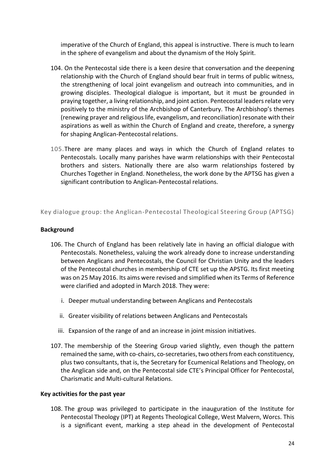imperative of the Church of England, this appeal is instructive. There is much to learn in the sphere of evangelism and about the dynamism of the Holy Spirit.

- 104. On the Pentecostal side there is a keen desire that conversation and the deepening relationship with the Church of England should bear fruit in terms of public witness, the strengthening of local joint evangelism and outreach into communities, and in growing disciples. Theological dialogue is important, but it must be grounded in praying together, a living relationship, and joint action. Pentecostal leaders relate very positively to the ministry of the Archbishop of Canterbury. The Archbishop's themes (renewing prayer and religious life, evangelism, and reconciliation) resonate with their aspirations as well as within the Church of England and create, therefore, a synergy for shaping Anglican-Pentecostal relations.
- 105.There are many places and ways in which the Church of England relates to Pentecostals. Locally many parishes have warm relationships with their Pentecostal brothers and sisters. Nationally there are also warm relationships fostered by Churches Together in England. Nonetheless, the work done by the APTSG has given a significant contribution to Anglican-Pentecostal relations.

Key dialogue group: the Anglican-Pentecostal Theological Steering Group (APTSG)

#### **Background**

- 106. The Church of England has been relatively late in having an official dialogue with Pentecostals. Nonetheless, valuing the work already done to increase understanding between Anglicans and Pentecostals, the Council for Christian Unity and the leaders of the Pentecostal churches in membership of CTE set up the APSTG. Its first meeting was on 25 May 2016. Its aims were revised and simplified when its Terms of Reference were clarified and adopted in March 2018. They were:
	- i. Deeper mutual understanding between Anglicans and Pentecostals
	- ii. Greater visibility of relations between Anglicans and Pentecostals
	- iii. Expansion of the range of and an increase in joint mission initiatives.
- 107. The membership of the Steering Group varied slightly, even though the pattern remained the same, with co-chairs, co-secretaries, two others from each constituency, plus two consultants, that is, the Secretary for Ecumenical Relations and Theology, on the Anglican side and, on the Pentecostal side CTE's Principal Officer for Pentecostal, Charismatic and Multi-cultural Relations.

#### **Key activities for the past year**

108. The group was privileged to participate in the inauguration of the Institute for Pentecostal Theology (IPT) at Regents Theological College, West Malvern, Worcs. This is a significant event, marking a step ahead in the development of Pentecostal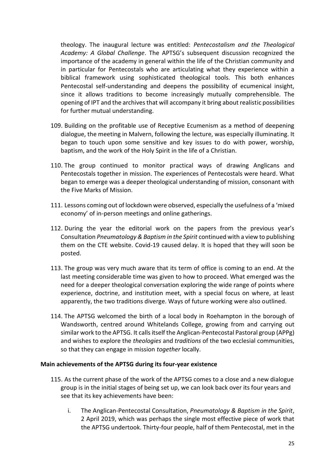theology. The inaugural lecture was entitled: *Pentecostalism and the Theological Academy: A Global Challenge*. The APTSG's subsequent discussion recognized the importance of the academy in general within the life of the Christian community and in particular for Pentecostals who are articulating what they experience within a biblical framework using sophisticated theological tools. This both enhances Pentecostal self-understanding and deepens the possibility of ecumenical insight, since it allows traditions to become increasingly mutually comprehensible. The opening of IPT and the archives that will accompany it bring about realistic possibilities for further mutual understanding.

- 109. Building on the profitable use of Receptive Ecumenism as a method of deepening dialogue, the meeting in Malvern, following the lecture, was especially illuminating. It began to touch upon some sensitive and key issues to do with power, worship, baptism, and the work of the Holy Spirit in the life of a Christian.
- 110. The group continued to monitor practical ways of drawing Anglicans and Pentecostals together in mission. The experiences of Pentecostals were heard. What began to emerge was a deeper theological understanding of mission, consonant with the Five Marks of Mission.
- 111. Lessons coming out of lockdown were observed, especially the usefulness of a 'mixed economy' of in-person meetings and online gatherings.
- 112. During the year the editorial work on the papers from the previous year's Consultation *Pneumatology & Baptism in the Spirit* continued with a view to publishing them on the CTE website. Covid-19 caused delay. It is hoped that they will soon be posted.
- 113. The group was very much aware that its term of office is coming to an end. At the last meeting considerable time was given to how to proceed. What emerged was the need for a deeper theological conversation exploring the wide range of points where experience, doctrine, and institution meet, with a special focus on where, at least apparently, the two traditions diverge. Ways of future working were also outlined.
- 114. The APTSG welcomed the birth of a local body in Roehampton in the borough of Wandsworth, centred around Whitelands College, growing from and carrying out similar work to the APTSG. It calls itself the Anglican-Pentecostal Pastoral group (APPg) and wishes to explore the *theologies* and *traditions* of the two ecclesial communities, so that they can engage in mission *together* locally.

#### **Main achievements of the APTSG during its four-year existence**

- 115. As the current phase of the work of the APTSG comes to a close and a new dialogue group is in the initial stages of being set up, we can look back over its four years and see that its key achievements have been:
	- i. The Anglican-Pentecostal Consultation, *Pneumatology & Baptism in the Spirit*, 2 April 2019, which was perhaps the single most effective piece of work that the APTSG undertook. Thirty-four people, half of them Pentecostal, met in the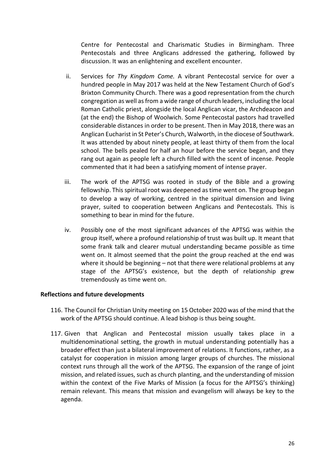Centre for Pentecostal and Charismatic Studies in Birmingham. Three Pentecostals and three Anglicans addressed the gathering, followed by discussion. It was an enlightening and excellent encounter.

- ii. Services for *Thy Kingdom Come.* A vibrant Pentecostal service for over a hundred people in May 2017 was held at the New Testament Church of God's Brixton Community Church. There was a good representation from the church congregation as well as from a wide range of church leaders, including the local Roman Catholic priest, alongside the local Anglican vicar, the Archdeacon and (at the end) the Bishop of Woolwich. Some Pentecostal pastors had travelled considerable distances in order to be present. Then in May 2018, there was an Anglican Eucharist in St Peter's Church, Walworth, in the diocese of Southwark. It was attended by about ninety people, at least thirty of them from the local school. The bells pealed for half an hour before the service began, and they rang out again as people left a church filled with the scent of incense. People commented that it had been a satisfying moment of intense prayer.
- iii. The work of the APTSG was rooted in study of the Bible and a growing fellowship. This spiritual root was deepened as time went on. The group began to develop a way of working, centred in the spiritual dimension and living prayer, suited to cooperation between Anglicans and Pentecostals. This is something to bear in mind for the future.
- iv. Possibly one of the most significant advances of the APTSG was within the group itself, where a profound relationship of trust was built up. It meant that some frank talk and clearer mutual understanding became possible as time went on. It almost seemed that the point the group reached at the end was where it should be beginning – not that there were relational problems at any stage of the APTSG's existence, but the depth of relationship grew tremendously as time went on.

#### **Reflections and future developments**

- 116. The Council for Christian Unity meeting on 15 October 2020 was of the mind that the work of the APTSG should continue. A lead bishop is thus being sought.
- 117. Given that Anglican and Pentecostal mission usually takes place in a multidenominational setting, the growth in mutual understanding potentially has a broader effect than just a bilateral improvement of relations. It functions, rather, as a catalyst for cooperation in mission among larger groups of churches. The missional context runs through all the work of the APTSG. The expansion of the range of joint mission, and related issues, such as church planting, and the understanding of mission within the context of the Five Marks of Mission (a focus for the APTSG's thinking) remain relevant. This means that mission and evangelism will always be key to the agenda.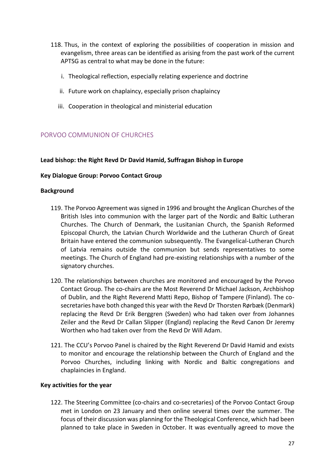- 118. Thus, in the context of exploring the possibilities of cooperation in mission and evangelism, three areas can be identified as arising from the past work of the current APTSG as central to what may be done in the future:
	- i. Theological reflection, especially relating experience and doctrine
	- ii. Future work on chaplaincy, especially prison chaplaincy
	- iii. Cooperation in theological and ministerial education

## <span id="page-26-0"></span>PORVOO COMMUNION OF CHURCHES

#### **Lead bishop: the Right Revd Dr David Hamid, Suffragan Bishop in Europe**

#### **Key Dialogue Group: Porvoo Contact Group**

#### **Background**

- 119. The Porvoo Agreement was signed in 1996 and brought the Anglican Churches of the British Isles into communion with the larger part of the Nordic and Baltic Lutheran Churches. The Church of Denmark, the Lusitanian Church, the Spanish Reformed Episcopal Church, the Latvian Church Worldwide and the Lutheran Church of Great Britain have entered the communion subsequently. The Evangelical-Lutheran Church of Latvia remains outside the communion but sends representatives to some meetings. The Church of England had pre-existing relationships with a number of the signatory churches.
- 120. The relationships between churches are monitored and encouraged by the Porvoo Contact Group. The co-chairs are the Most Reverend Dr Michael Jackson, Archbishop of Dublin, and the Right Reverend Matti Repo, Bishop of Tampere (Finland). The cosecretaries have both changed this year with the Revd Dr Thorsten Rørbæk (Denmark) replacing the Revd Dr Erik Berggren (Sweden) who had taken over from Johannes Zeiler and the Revd Dr Callan Slipper (England) replacing the Revd Canon Dr Jeremy Worthen who had taken over from the Revd Dr Will Adam.
- 121. The CCU's Porvoo Panel is chaired by the Right Reverend Dr David Hamid and exists to monitor and encourage the relationship between the Church of England and the Porvoo Churches, including linking with Nordic and Baltic congregations and chaplaincies in England.

#### **Key activities for the year**

122. The Steering Committee (co-chairs and co-secretaries) of the Porvoo Contact Group met in London on 23 January and then online several times over the summer. The focus of their discussion was planning for the Theological Conference, which had been planned to take place in Sweden in October. It was eventually agreed to move the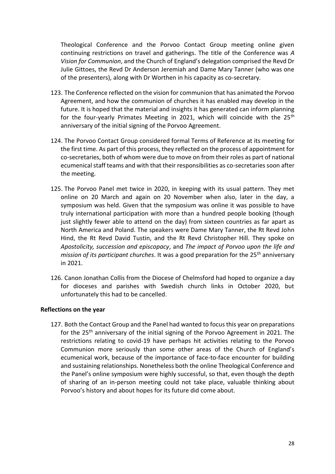Theological Conference and the Porvoo Contact Group meeting online given continuing restrictions on travel and gatherings. The title of the Conference was *A Vision for Communion*, and the Church of England's delegation comprised the Revd Dr Julie Gittoes, the Revd Dr Anderson Jeremiah and Dame Mary Tanner (who was one of the presenters), along with Dr Worthen in his capacity as co-secretary.

- 123. The Conference reflected on the vision for communion that has animated the Porvoo Agreement, and how the communion of churches it has enabled may develop in the future. It is hoped that the material and insights it has generated can inform planning for the four-yearly Primates Meeting in 2021, which will coincide with the  $25<sup>th</sup>$ anniversary of the initial signing of the Porvoo Agreement.
- 124. The Porvoo Contact Group considered formal Terms of Reference at its meeting for the first time. As part of this process, they reflected on the process of appointment for co-secretaries, both of whom were due to move on from their roles as part of national ecumenical staff teams and with that their responsibilities as co-secretaries soon after the meeting.
- 125. The Porvoo Panel met twice in 2020, in keeping with its usual pattern. They met online on 20 March and again on 20 November when also, later in the day, a symposium was held. Given that the symposium was online it was possible to have truly international participation with more than a hundred people booking (though just slightly fewer able to attend on the day) from sixteen countries as far apart as North America and Poland. The speakers were Dame Mary Tanner, the Rt Revd John Hind, the Rt Revd David Tustin, and the Rt Revd Christopher Hill. They spoke on *Apostolicity, succession and episcopacy*, and *The impact of Porvoo upon the life and mission of its participant churches.* It was a good preparation for the 25<sup>th</sup> anniversary in 2021.
- 126. Canon Jonathan Collis from the Diocese of Chelmsford had hoped to organize a day for dioceses and parishes with Swedish church links in October 2020, but unfortunately this had to be cancelled.

#### **Reflections on the year**

127. Both the Contact Group and the Panel had wanted to focus this year on preparations for the 25<sup>th</sup> anniversary of the initial signing of the Porvoo Agreement in 2021. The restrictions relating to covid-19 have perhaps hit activities relating to the Porvoo Communion more seriously than some other areas of the Church of England's ecumenical work, because of the importance of face-to-face encounter for building and sustaining relationships. Nonetheless both the online Theological Conference and the Panel's online symposium were highly successful, so that, even though the depth of sharing of an in-person meeting could not take place, valuable thinking about Porvoo's history and about hopes for its future did come about.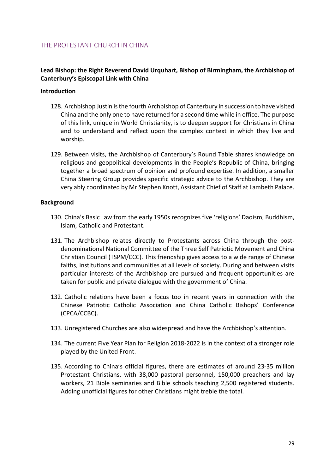#### <span id="page-28-0"></span>THE PROTESTANT CHURCH IN CHINA

## **Lead Bishop: the Right Reverend David Urquhart, Bishop of Birmingham, the Archbishop of Canterbury's Episcopal Link with China**

#### **Introduction**

- 128. Archbishop Justin is the fourth Archbishop of Canterbury in succession to have visited China and the only one to have returned for a second time while in office. The purpose of this link, unique in World Christianity, is to deepen support for Christians in China and to understand and reflect upon the complex context in which they live and worship.
- 129. Between visits, the Archbishop of Canterbury's Round Table shares knowledge on religious and geopolitical developments in the People's Republic of China, bringing together a broad spectrum of opinion and profound expertise. In addition, a smaller China Steering Group provides specific strategic advice to the Archbishop. They are very ably coordinated by Mr Stephen Knott, Assistant Chief of Staff at Lambeth Palace.

#### **Background**

- 130. China's Basic Law from the early 1950s recognizes five 'religions' Daoism, Buddhism, Islam, Catholic and Protestant.
- 131. The Archbishop relates directly to Protestants across China through the postdenominational National Committee of the Three Self Patriotic Movement and China Christian Council (TSPM/CCC). This friendship gives access to a wide range of Chinese faiths, institutions and communities at all levels of society. During and between visits particular interests of the Archbishop are pursued and frequent opportunities are taken for public and private dialogue with the government of China.
- 132. Catholic relations have been a focus too in recent years in connection with the Chinese Patriotic Catholic Association and China Catholic Bishops' Conference (CPCA/CCBC).
- 133. Unregistered Churches are also widespread and have the Archbishop's attention.
- 134. The current Five Year Plan for Religion 2018-2022 is in the context of a stronger role played by the United Front.
- 135. According to China's official figures, there are estimates of around 23-35 million Protestant Christians, with 38,000 pastoral personnel, 150,000 preachers and lay workers, 21 Bible seminaries and Bible schools teaching 2,500 registered students. Adding unofficial figures for other Christians might treble the total.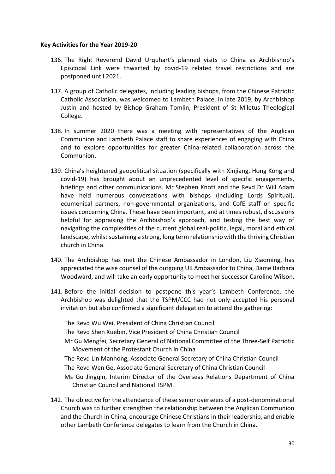#### **Key Activities for the Year 2019-20**

- 136. The Right Reverend David Urquhart's planned visits to China as Archbishop's Episcopal Link were thwarted by covid-19 related travel restrictions and are postponed until 2021.
- 137. A group of Catholic delegates, including leading bishops, from the Chinese Patriotic Catholic Association, was welcomed to Lambeth Palace, in late 2019, by Archbishop Justin and hosted by Bishop Graham Tomlin, President of St Miletus Theological College.
- 138. In summer 2020 there was a meeting with representatives of the Anglican Communion and Lambeth Palace staff to share experiences of engaging with China and to explore opportunities for greater China-related collaboration across the Communion.
- 139. China's heightened geopolitical situation (specifically with Xinjiang, Hong Kong and covid-19) has brought about an unprecedented level of specific engagements, briefings and other communications. Mr Stephen Knott and the Revd Dr Will Adam have held numerous conversations with bishops (including Lords Spiritual), ecumenical partners, non-governmental organizations, and CofE staff on specific issues concerning China. These have been important, and at times robust, discussions helpful for appraising the Archbishop's approach, and testing the best way of navigating the complexities of the current global real-politic, legal, moral and ethical landscape, whilst sustaining a strong, long term relationship with the thriving Christian church in China.
- 140. The Archbishop has met the Chinese Ambassador in London, Liu Xiaoming, has appreciated the wise counsel of the outgoing UK Ambassador to China, Dame Barbara Woodward, and will take an early opportunity to meet her successor Caroline Wilson.
- 141. Before the initial decision to postpone this year's Lambeth Conference, the Archbishop was delighted that the TSPM/CCC had not only accepted his personal invitation but also confirmed a significant delegation to attend the gathering:

The Revd Wu Wei, President of China Christian Council

The Revd Shen Xuebin, Vice President of China Christian Council

Mr Gu Mengfei, Secretary General of National Committee of the Three-Self Patriotic Movement of the Protestant Church in China

The Revd Lin Manhong, Associate General Secretary of China Christian Council

- The Revd Wen Ge, Associate General Secretary of China Christian Council
- Ms Gu Jingqin, Interim Director of the Overseas Relations Department of China Christian Council and National TSPM.
- 142. The objective for the attendance of these senior overseers of a post-denominational Church was to further strengthen the relationship between the Anglican Communion and the Church in China, encourage Chinese Christians in their leadership, and enable other Lambeth Conference delegates to learn from the Church in China.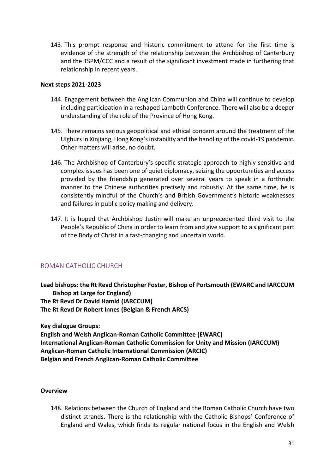143. This prompt response and historic commitment to attend for the first time is evidence of the strength of the relationship between the Archbishop of Canterbury and the TSPM/CCC and a result of the significant investment made in furthering that relationship in recent years.

#### **Next steps 2021-2023**

- 144. Engagement between the Anglican Communion and China will continue to develop including participation in a reshaped Lambeth Conference. There will also be a deeper understanding of the role of the Province of Hong Kong.
- 145. There remains serious geopolitical and ethical concern around the treatment of the Uighurs in Xinjiang, Hong Kong's instability and the handling of the covid-19 pandemic. Other matters will arise, no doubt.
- 146. The Archbishop of Canterbury's specific strategic approach to highly sensitive and complex issues has been one of quiet diplomacy, seizing the opportunities and access provided by the friendship generated over several years to speak in a forthright manner to the Chinese authorities precisely and robustly. At the same time, he is consistently mindful of the Church's and British Government's historic weaknesses and failures in public policy making and delivery.
- 147. It is hoped that Archbishop Justin will make an unprecedented third visit to the People's Republic of China in order to learn from and give support to a significant part of the Body of Christ in a fast-changing and uncertain world.

## <span id="page-30-0"></span>ROMAN CATHOLIC CHURCH

**Lead bishops: the Rt Revd Christopher Foster, Bishop of Portsmouth (EWARC and IARCCUM Bishop at Large for England) The Rt Revd Dr David Hamid (IARCCUM) The Rt Revd Dr Robert Innes (Belgian & French ARCS)**

**Key dialogue Groups:** 

**English and Welsh Anglican-Roman Catholic Committee (EWARC) International Anglican-Roman Catholic Commission for Unity and Mission (IARCCUM) Anglican-Roman Catholic International Commission (ARCIC) Belgian and French Anglican-Roman Catholic Committee**

## **Overview**

148. Relations between the Church of England and the Roman Catholic Church have two distinct strands. There is the relationship with the Catholic Bishops' Conference of England and Wales, which finds its regular national focus in the English and Welsh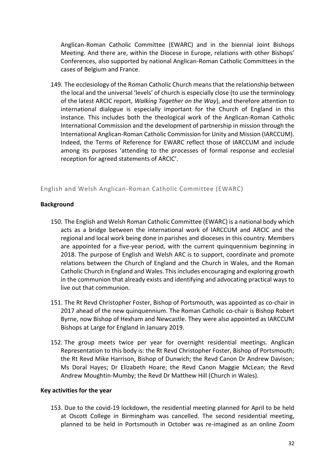Anglican-Roman Catholic Committee (EWARC) and in the biennial Joint Bishops Meeting. And there are, within the Diocese in Europe, relations with other Bishops' Conferences, also supported by national Anglican-Roman Catholic Committees in the cases of Belgium and France.

149. The ecclesiology of the Roman Catholic Church means that the relationship between the local and the universal 'levels' of church is especially close (to use the terminology of the latest ARCIC report, *Walking Together on the Way*), and therefore attention to international dialogue is especially important for the Church of England in this instance. This includes both the theological work of the Anglican-Roman Catholic International Commission and the development of partnership in mission through the International Anglican-Roman Catholic Commission for Unity and Mission (IARCCUM). Indeed, the Terms of Reference for EWARC reflect those of IARCCUM and include among its purposes 'attending to the processes of formal response and ecclesial reception for agreed statements of ARCIC'.

#### English and Welsh Anglican-Roman Catholic Committee (EWARC)

#### **Background**

- 150. The English and Welsh Roman Catholic Committee (EWARC) is a national body which acts as a bridge between the international work of IARCCUM and ARCIC and the regional and local work being done in parishes and dioceses in this country. Members are appointed for a five-year period, with the current quinquennium beginning in 2018. The purpose of English and Welsh ARC is to support, coordinate and promote relations between the Church of England and the Church in Wales, and the Roman Catholic Church in England and Wales. This includes encouraging and exploring growth in the communion that already exists and identifying and advocating practical ways to live out that communion.
- 151. The Rt Revd Christopher Foster, Bishop of Portsmouth, was appointed as co-chair in 2017 ahead of the new quinquennium. The Roman Catholic co-chair is Bishop Robert Byrne, now Bishop of Hexham and Newcastle. They were also appointed as IARCCUM Bishops at Large for England in January 2019.
- 152. The group meets twice per year for overnight residential meetings. Anglican Representation to this body is: the Rt Revd Christopher Foster, Bishop of Portsmouth; the Rt Revd Mike Harrison, Bishop of Dunwich; the Revd Canon Dr Andrew Davison; Ms Doral Hayes; Dr Elizabeth Hoare; the Revd Canon Maggie McLean; the Revd Andrew Moughtin-Mumby; the Revd Dr Matthew Hill (Church in Wales).

#### **Key activities for the year**

153. Due to the covid-19 lockdown, the residential meeting planned for April to be held at Oscott College in Birmingham was cancelled. The second residential meeting, planned to be held in Portsmouth in October was re-imagined as an online Zoom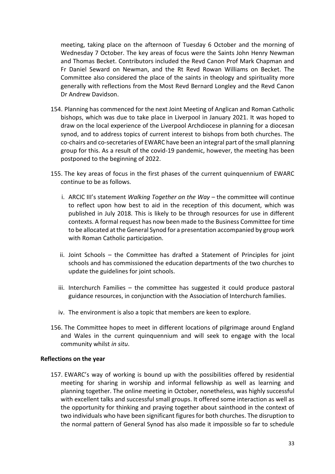meeting, taking place on the afternoon of Tuesday 6 October and the morning of Wednesday 7 October. The key areas of focus were the Saints John Henry Newman and Thomas Becket. Contributors included the Revd Canon Prof Mark Chapman and Fr Daniel Seward on Newman, and the Rt Revd Rowan Williams on Becket. The Committee also considered the place of the saints in theology and spirituality more generally with reflections from the Most Revd Bernard Longley and the Revd Canon Dr Andrew Davidson.

- 154. Planning has commenced for the next Joint Meeting of Anglican and Roman Catholic bishops, which was due to take place in Liverpool in January 2021. It was hoped to draw on the local experience of the Liverpool Archdiocese in planning for a diocesan synod, and to address topics of current interest to bishops from both churches. The co-chairs and co-secretaries of EWARC have been an integral part of the small planning group for this. As a result of the covid-19 pandemic, however, the meeting has been postponed to the beginning of 2022.
- 155. The key areas of focus in the first phases of the current quinquennium of EWARC continue to be as follows.
	- i. ARCIC III's statement *Walking Together on the Way* the committee will continue to reflect upon how best to aid in the reception of this document, which was published in July 2018. This is likely to be through resources for use in different contexts. A formal request has now been made to the Business Committee for time to be allocated at the General Synod for a presentation accompanied by group work with Roman Catholic participation.
	- ii. Joint Schools the Committee has drafted a Statement of Principles for joint schools and has commissioned the education departments of the two churches to update the guidelines for joint schools.
	- iii. Interchurch Families the committee has suggested it could produce pastoral guidance resources, in conjunction with the Association of Interchurch families.
	- iv. The environment is also a topic that members are keen to explore.
- 156. The Committee hopes to meet in different locations of pilgrimage around England and Wales in the current quinquennium and will seek to engage with the local community whilst *in situ*.

#### **Reflections on the year**

157. EWARC's way of working is bound up with the possibilities offered by residential meeting for sharing in worship and informal fellowship as well as learning and planning together. The online meeting in October, nonetheless, was highly successful with excellent talks and successful small groups. It offered some interaction as well as the opportunity for thinking and praying together about sainthood in the context of two individuals who have been significant figures for both churches. The disruption to the normal pattern of General Synod has also made it impossible so far to schedule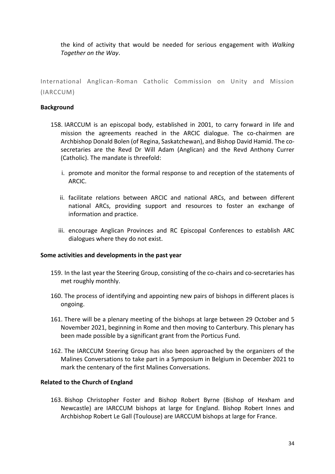the kind of activity that would be needed for serious engagement with *Walking Together on the Way*.

International Anglican-Roman Catholic Commission on Unity and Mission (IARCCUM)

#### **Background**

- 158. IARCCUM is an episcopal body, established in 2001, to carry forward in life and mission the agreements reached in the ARCIC dialogue. The co-chairmen are Archbishop Donald Bolen (of Regina, Saskatchewan), and Bishop David Hamid. The cosecretaries are the Revd Dr Will Adam (Anglican) and the Revd Anthony Currer (Catholic). The mandate is threefold:
	- i. promote and monitor the formal response to and reception of the statements of ARCIC.
	- ii. facilitate relations between ARCIC and national ARCs, and between different national ARCs, providing support and resources to foster an exchange of information and practice.
	- iii. encourage Anglican Provinces and RC Episcopal Conferences to establish ARC dialogues where they do not exist.

#### **Some activities and developments in the past year**

- 159. In the last year the Steering Group, consisting of the co-chairs and co-secretaries has met roughly monthly.
- 160. The process of identifying and appointing new pairs of bishops in different places is ongoing.
- 161. There will be a plenary meeting of the bishops at large between 29 October and 5 November 2021, beginning in Rome and then moving to Canterbury. This plenary has been made possible by a significant grant from the Porticus Fund.
- 162. The IARCCUM Steering Group has also been approached by the organizers of the Malines Conversations to take part in a Symposium in Belgium in December 2021 to mark the centenary of the first Malines Conversations.

#### **Related to the Church of England**

163. Bishop Christopher Foster and Bishop Robert Byrne (Bishop of Hexham and Newcastle) are IARCCUM bishops at large for England. Bishop Robert Innes and Archbishop Robert Le Gall (Toulouse) are IARCCUM bishops at large for France.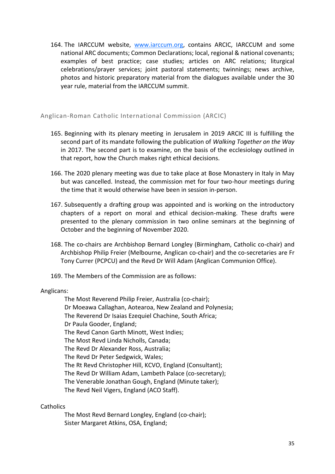164. The IARCCUM website, [www.iarccum.org,](http://www.iarccum.org/) contains ARCIC, IARCCUM and some national ARC documents; Common Declarations; local, regional & national covenants; examples of best practice; case studies; articles on ARC relations; liturgical celebrations/prayer services; joint pastoral statements; twinnings; news archive, photos and historic preparatory material from the dialogues available under the 30 year rule, material from the IARCCUM summit.

#### Anglican-Roman Catholic International Commission (ARCIC)

- 165. Beginning with its plenary meeting in Jerusalem in 2019 ARCIC III is fulfilling the second part of its mandate following the publication of *Walking Together on the Way* in 2017. The second part is to examine, on the basis of the ecclesiology outlined in that report, how the Church makes right ethical decisions.
- 166. The 2020 plenary meeting was due to take place at Bose Monastery in Italy in May but was cancelled. Instead, the commission met for four two-hour meetings during the time that it would otherwise have been in session in-person.
- 167. Subsequently a drafting group was appointed and is working on the introductory chapters of a report on moral and ethical decision-making. These drafts were presented to the plenary commission in two online seminars at the beginning of October and the beginning of November 2020.
- 168. The co-chairs are Archbishop Bernard Longley (Birmingham, Catholic co-chair) and Archbishop Philip Freier (Melbourne, Anglican co-chair) and the co-secretaries are Fr Tony Currer (PCPCU) and the Revd Dr Will Adam (Anglican Communion Office).
- 169. The Members of the Commission are as follows:

#### Anglicans:

The Most Reverend Philip Freier, Australia (co-chair); Dr Moeawa Callaghan, Aotearoa, New Zealand and Polynesia; The Reverend Dr Isaias Ezequiel Chachine, South Africa; Dr Paula Gooder, England; The Revd Canon Garth Minott, West Indies; The Most Revd Linda Nicholls, Canada; The Revd Dr Alexander Ross, Australia; The Revd Dr Peter Sedgwick, Wales; The Rt Revd Christopher Hill, KCVO, England (Consultant); The Revd Dr William Adam, Lambeth Palace (co-secretary); The Venerable Jonathan Gough, England (Minute taker); The Revd Neil Vigers, England (ACO Staff).

#### **Catholics**

The Most Revd Bernard Longley, England (co-chair); Sister Margaret Atkins, OSA, England;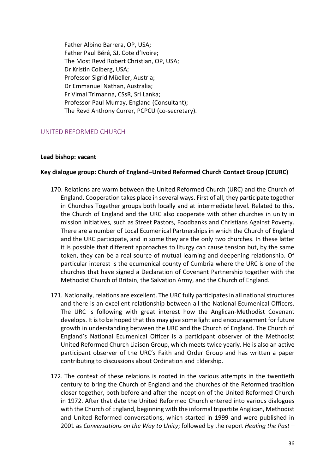Father Albino Barrera, OP, USA; Father Paul Béré, SJ, Cote d'Ivoire; The Most Revd Robert Christian, OP, USA; Dr Kristin Colberg, USA; Professor Sigrid Müeller, Austria; Dr Emmanuel Nathan, Australia; Fr Vimal Trimanna, CSsR, Sri Lanka; Professor Paul Murray, England (Consultant); The Revd Anthony Currer, PCPCU (co-secretary).

## <span id="page-35-0"></span>UNITED REFORMED CHURCH

#### **Lead bishop: vacant**

#### **Key dialogue group: Church of England–United Reformed Church Contact Group (CEURC)**

- 170. Relations are warm between the United Reformed Church (URC) and the Church of England. Cooperation takes place in several ways. First of all, they participate together in Churches Together groups both locally and at intermediate level. Related to this, the Church of England and the URC also cooperate with other churches in unity in mission initiatives, such as Street Pastors, Foodbanks and Christians Against Poverty. There are a number of Local Ecumenical Partnerships in which the Church of England and the URC participate, and in some they are the only two churches. In these latter it is possible that different approaches to liturgy can cause tension but, by the same token, they can be a real source of mutual learning and deepening relationship. Of particular interest is the ecumenical county of Cumbria where the URC is one of the churches that have signed a Declaration of Covenant Partnership together with the Methodist Church of Britain, the Salvation Army, and the Church of England.
- 171. Nationally, relations are excellent. The URC fully participates in all national structures and there is an excellent relationship between all the National Ecumenical Officers. The URC is following with great interest how the Anglican-Methodist Covenant develops. It is to be hoped that this may give some light and encouragement for future growth in understanding between the URC and the Church of England. The Church of England's National Ecumenical Officer is a participant observer of the Methodist United Reformed Church Liaison Group, which meets twice yearly. He is also an active participant observer of the URC's Faith and Order Group and has written a paper contributing to discussions about Ordination and Eldership.
- 172. The context of these relations is rooted in the various attempts in the twentieth century to bring the Church of England and the churches of the Reformed tradition closer together, both before and after the inception of the United Reformed Church in 1972. After that date the United Reformed Church entered into various dialogues with the Church of England, beginning with the informal tripartite Anglican, Methodist and United Reformed conversations, which started in 1999 and were published in 2001 as *Conversations on the Way to Unity*; followed by the report *Healing the Past –*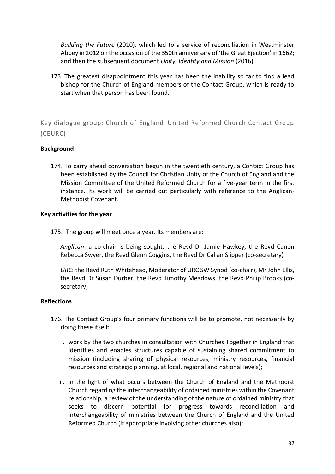*Building the Future* (2010), which led to a service of reconciliation in Westminster Abbey in 2012 on the occasion of the 350th anniversary of 'the Great Ejection' in 1662; and then the subsequent document *Unity, Identity and Mission* (2016).

173. The greatest disappointment this year has been the inability so far to find a lead bishop for the Church of England members of the Contact Group, which is ready to start when that person has been found.

Key dialogue group: Church of England–United Reformed Church Contact Group (CEURC)

#### **Background**

174. To carry ahead conversation begun in the twentieth century, a Contact Group has been established by the Council for Christian Unity of the Church of England and the Mission Committee of the United Reformed Church for a five-year term in the first instance. Its work will be carried out particularly with reference to the Anglican-Methodist Covenant.

#### **Key activities for the year**

175. The group will meet once a year. Its members are:

*Anglican*: a co-chair is being sought, the Revd Dr Jamie Hawkey, the Revd Canon Rebecca Swyer, the Revd Glenn Coggins, the Revd Dr Callan Slipper (co-secretary)

*URC*: the Revd Ruth Whitehead, Moderator of URC SW Synod (co-chair), Mr John Ellis, the Revd Dr Susan Durber, the Revd Timothy Meadows, the Revd Philip Brooks (cosecretary)

#### **Reflections**

- 176. The Contact Group's four primary functions will be to promote, not necessarily by doing these itself:
	- i. work by the two churches in consultation with Churches Together in England that identifies and enables structures capable of sustaining shared commitment to mission (including sharing of physical resources, ministry resources, financial resources and strategic planning, at local, regional and national levels);
	- ii. in the light of what occurs between the Church of England and the Methodist Church regarding the interchangeability of ordained ministries within the Covenant relationship, a review of the understanding of the nature of ordained ministry that seeks to discern potential for progress towards reconciliation and interchangeability of ministries between the Church of England and the United Reformed Church (if appropriate involving other churches also);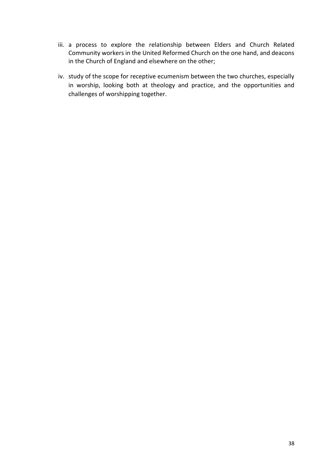- iii. a process to explore the relationship between Elders and Church Related Community workers in the United Reformed Church on the one hand, and deacons in the Church of England and elsewhere on the other;
- iv. study of the scope for receptive ecumenism between the two churches, especially in worship, looking both at theology and practice, and the opportunities and challenges of worshipping together.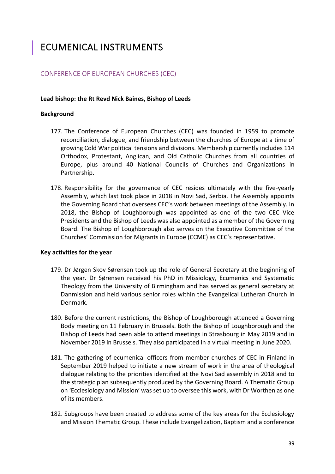## <span id="page-38-0"></span>ECUMENICAL INSTRUMENTS

## <span id="page-38-1"></span>CONFERENCE OF EUROPEAN CHURCHES (CEC)

#### **Lead bishop: the Rt Revd Nick Baines, Bishop of Leeds**

#### **Background**

- 177. The Conference of European Churches (CEC) was founded in 1959 to promote reconciliation, dialogue, and friendship between the churches of Europe at a time of growing Cold War political tensions and divisions. Membership currently includes 114 Orthodox, Protestant, Anglican, and Old Catholic Churches from all countries of Europe, plus around 40 National Councils of Churches and Organizations in Partnership.
- 178. Responsibility for the governance of CEC resides ultimately with the five-yearly Assembly, which last took place in 2018 in Novi Sad, Serbia. The Assembly appoints the Governing Board that oversees CEC's work between meetings of the Assembly. In 2018, the Bishop of Loughborough was appointed as one of the two CEC Vice Presidents and the Bishop of Leeds was also appointed as a member of the Governing Board. The Bishop of Loughborough also serves on the Executive Committee of the Churches' Commission for Migrants in Europe (CCME) as CEC's representative.

#### **Key activities for the year**

- 179. Dr Jørgen Skov Sørensen took up the role of General Secretary at the beginning of the year. Dr Sørensen received his PhD in Missiology, Ecumenics and Systematic Theology from the University of Birmingham and has served as general secretary at Danmission and held various senior roles within the Evangelical Lutheran Church in Denmark.
- 180. Before the current restrictions, the Bishop of Loughborough attended a Governing Body meeting on 11 February in Brussels. Both the Bishop of Loughborough and the Bishop of Leeds had been able to attend meetings in Strasbourg in May 2019 and in November 2019 in Brussels. They also participated in a virtual meeting in June 2020.
- 181. The gathering of ecumenical officers from member churches of CEC in Finland in September 2019 helped to initiate a new stream of work in the area of theological dialogue relating to the priorities identified at the Novi Sad assembly in 2018 and to the strategic plan subsequently produced by the Governing Board. A Thematic Group on 'Ecclesiology and Mission' was set up to oversee this work, with Dr Worthen as one of its members.
- 182. Subgroups have been created to address some of the key areas for the Ecclesiology and Mission Thematic Group. These include Evangelization, Baptism and a conference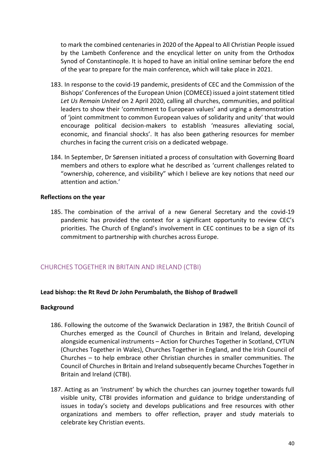to mark the combined centenaries in 2020 of the Appeal to All Christian People issued by the Lambeth Conference and the encyclical letter on unity from the Orthodox Synod of Constantinople. It is hoped to have an initial online seminar before the end of the year to prepare for the main conference, which will take place in 2021.

- 183. In response to the covid-19 pandemic, presidents of CEC and the Commission of the Bishops' Conferences of the European Union (COMECE) issued a joint statement titled *Let Us Remain United* on 2 April 2020, calling all churches, communities, and political leaders to show their 'commitment to European values' and urging a demonstration of 'joint commitment to common European values of solidarity and unity' that would encourage political decision-makers to establish 'measures alleviating social, economic, and financial shocks'. It has also been gathering resources for member churches in facing the current crisis on a dedicated webpage.
- 184. In September, Dr Sørensen initiated a process of consultation with Governing Board members and others to explore what he described as 'current challenges related to "ownership, coherence, and visibility" which I believe are key notions that need our attention and action.'

#### **Reflections on the year**

185. The combination of the arrival of a new General Secretary and the covid-19 pandemic has provided the context for a significant opportunity to review CEC's priorities. The Church of England's involvement in CEC continues to be a sign of its commitment to partnership with churches across Europe.

#### <span id="page-39-0"></span>CHURCHES TOGETHER IN BRITAIN AND IRELAND (CTBI)

#### **Lead bishop: the Rt Revd Dr John Perumbalath, the Bishop of Bradwell**

#### **Background**

- 186. Following the outcome of the Swanwick Declaration in 1987, the British Council of Churches emerged as the Council of Churches in Britain and Ireland, developing alongside ecumenical instruments – Action for Churches Together in Scotland, CYTUN (Churches Together in Wales), Churches Together in England, and the Irish Council of Churches – to help embrace other Christian churches in smaller communities. The Council of Churches in Britain and Ireland subsequently became Churches Together in Britain and Ireland (CTBI).
- 187. Acting as an 'instrument' by which the churches can journey together towards full visible unity, CTBI provides information and guidance to bridge understanding of issues in today's society and develops publications and free resources with other organizations and members to offer reflection, prayer and study materials to celebrate key Christian events.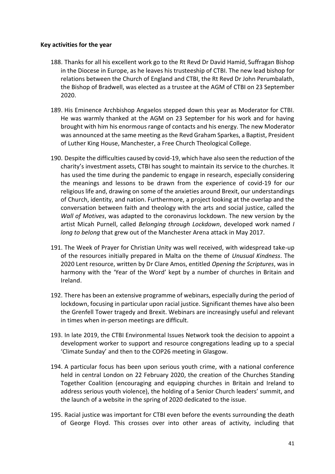#### **Key activities for the year**

- 188. Thanks for all his excellent work go to the Rt Revd Dr David Hamid, Suffragan Bishop in the Diocese in Europe, as he leaves his trusteeship of CTBI. The new lead bishop for relations between the Church of England and CTBI, the Rt Revd Dr John Perumbalath, the Bishop of Bradwell, was elected as a trustee at the AGM of CTBI on 23 September 2020.
- 189. His Eminence Archbishop Angaelos stepped down this year as Moderator for CTBI. He was warmly thanked at the AGM on 23 September for his work and for having brought with him his enormous range of contacts and his energy. The new Moderator was announced at the same meeting as the Revd Graham Sparkes, a Baptist, President of Luther King House, Manchester, a Free Church Theological College.
- 190. Despite the difficulties caused by covid-19, which have also seen the reduction of the charity's investment assets, CTBI has sought to maintain its service to the churches. It has used the time during the pandemic to engage in research, especially considering the meanings and lessons to be drawn from the experience of covid-19 for our religious life and, drawing on some of the anxieties around Brexit, our understandings of Church, identity, and nation. Furthermore, a project looking at the overlap and the conversation between faith and theology with the arts and social justice, called the *Wall of Motives*, was adapted to the coronavirus lockdown. The new version by the artist Micah Purnell, called *Belonging through Lockdown*, developed work named *I long to belong* that grew out of the Manchester Arena attack in May 2017.
- 191. The Week of Prayer for Christian Unity was well received, with widespread take-up of the resources initially prepared in Malta on the theme of *Unusual Kindness*. The 2020 Lent resource, written by Dr Clare Amos, entitled *Opening the Scriptures*, was in harmony with the 'Year of the Word' kept by a number of churches in Britain and Ireland.
- 192. There has been an extensive programme of webinars, especially during the period of lockdown, focusing in particular upon racial justice. Significant themes have also been the Grenfell Tower tragedy and Brexit. Webinars are increasingly useful and relevant in times when in-person meetings are difficult.
- 193. In late 2019, the CTBI Environmental Issues Network took the decision to appoint a development worker to support and resource congregations leading up to a special 'Climate Sunday' and then to the COP26 meeting in Glasgow.
- 194. A particular focus has been upon serious youth crime, with a national conference held in central London on 22 February 2020, the creation of the Churches Standing Together Coalition (encouraging and equipping churches in Britain and Ireland to address serious youth violence), the holding of a Senior Church leaders' summit, and the launch of a website in the spring of 2020 dedicated to the issue.
- 195. Racial justice was important for CTBI even before the events surrounding the death of George Floyd. This crosses over into other areas of activity, including that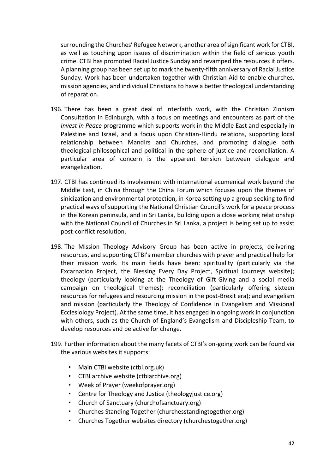surrounding the Churches' Refugee Network, another area of significant work for CTBI, as well as touching upon issues of discrimination within the field of serious youth crime. CTBI has promoted Racial Justice Sunday and revamped the resources it offers. A planning group has been set up to mark the twenty-fifth anniversary of Racial Justice Sunday. Work has been undertaken together with Christian Aid to enable churches, mission agencies, and individual Christians to have a better theological understanding of reparation.

- 196. There has been a great deal of interfaith work, with the Christian Zionism Consultation in Edinburgh, with a focus on meetings and encounters as part of the *Invest in Peace* programme which supports work in the Middle East and especially in Palestine and Israel, and a focus upon Christian-Hindu relations, supporting local relationship between Mandirs and Churches, and promoting dialogue both theological-philosophical and political in the sphere of justice and reconciliation. A particular area of concern is the apparent tension between dialogue and evangelization.
- 197. CTBI has continued its involvement with international ecumenical work beyond the Middle East, in China through the China Forum which focuses upon the themes of sinicization and environmental protection, in Korea setting up a group seeking to find practical ways of supporting the National Christian Council's work for a peace process in the Korean peninsula, and in Sri Lanka, building upon a close working relationship with the National Council of Churches in Sri Lanka, a project is being set up to assist post-conflict resolution.
- 198. The Mission Theology Advisory Group has been active in projects, delivering resources, and supporting CTBI's member churches with prayer and practical help for their mission work. Its main fields have been: spirituality (particularly via the Excarnation Project, the Blessing Every Day Project, Spiritual Journeys website); theology (particularly looking at the Theology of Gift-Giving and a social media campaign on theological themes); reconciliation (particularly offering sixteen resources for refugees and resourcing mission in the post-Brexit era); and evangelism and mission (particularly the Theology of Confidence in Evangelism and Missional Ecclesiology Project). At the same time, it has engaged in ongoing work in conjunction with others, such as the Church of England's Evangelism and Discipleship Team, to develop resources and be active for change.
- 199. Further information about the many facets of CTBI's on-going work can be found via the various websites it supports:
	- Main CTBI website (ctbi.org.uk)
	- CTBI archive website (ctbiarchive.org)
	- Week of Prayer (weekofprayer.org)
	- Centre for Theology and Justice (theologyjustice.org)
	- Church of Sanctuary (churchofsanctuary.org)
	- Churches Standing Together (churchesstandingtogether.org)
	- Churches Together websites directory (churchestogether.org)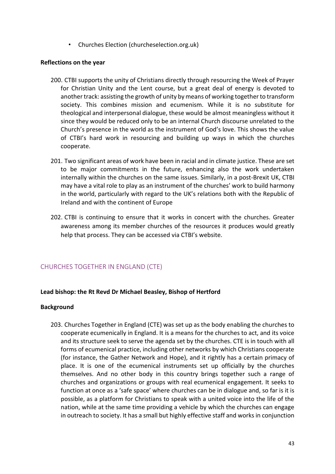• Churches Election (churcheselection.org.uk)

#### **Reflections on the year**

- 200. CTBI supports the unity of Christians directly through resourcing the Week of Prayer for Christian Unity and the Lent course, but a great deal of energy is devoted to another track: assisting the growth of unity by means of working together to transform society. This combines mission and ecumenism. While it is no substitute for theological and interpersonal dialogue, these would be almost meaningless without it since they would be reduced only to be an internal Church discourse unrelated to the Church's presence in the world as the instrument of God's love. This shows the value of CTBI's hard work in resourcing and building up ways in which the churches cooperate.
- 201. Two significant areas of work have been in racial and in climate justice. These are set to be major commitments in the future, enhancing also the work undertaken internally within the churches on the same issues. Similarly, in a post-Brexit UK, CTBI may have a vital role to play as an instrument of the churches' work to build harmony in the world, particularly with regard to the UK's relations both with the Republic of Ireland and with the continent of Europe
- 202. CTBI is continuing to ensure that it works in concert with the churches. Greater awareness among its member churches of the resources it produces would greatly help that process. They can be accessed via CTBI's website.

## <span id="page-42-0"></span>CHURCHES TOGETHER IN ENGLAND (CTE)

#### **Lead bishop: the Rt Revd Dr Michael Beasley, Bishop of Hertford**

#### **Background**

203. Churches Together in England (CTE) was set up as the body enabling the churches to cooperate ecumenically in England. It is a means for the churches to act, and its voice and its structure seek to serve the agenda set by the churches. CTE is in touch with all forms of ecumenical practice, including other networks by which Christians cooperate (for instance, the Gather Network and Hope), and it rightly has a certain primacy of place. It is one of the ecumenical instruments set up officially by the churches themselves. And no other body in this country brings together such a range of churches and organizations or groups with real ecumenical engagement. It seeks to function at once as a 'safe space' where churches can be in dialogue and, so far is it is possible, as a platform for Christians to speak with a united voice into the life of the nation, while at the same time providing a vehicle by which the churches can engage in outreach to society. It has a small but highly effective staff and works in conjunction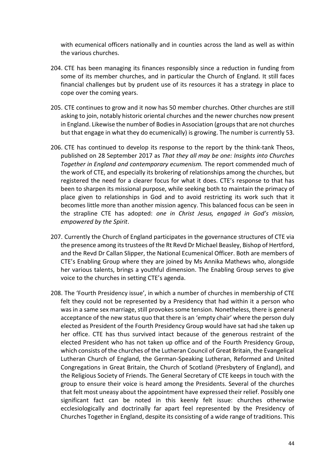with ecumenical officers nationally and in counties across the land as well as within the various churches.

- 204. CTE has been managing its finances responsibly since a reduction in funding from some of its member churches, and in particular the Church of England. It still faces financial challenges but by prudent use of its resources it has a strategy in place to cope over the coming years.
- 205. CTE continues to grow and it now has 50 member churches. Other churches are still asking to join, notably historic oriental churches and the newer churches now present in England. Likewise the number of Bodies in Association (groups that are not churches but that engage in what they do ecumenically) is growing. The number is currently 53.
- 206. CTE has continued to develop its response to the report by the think-tank Theos, published on 28 September 2017 as *That they all may be one: Insights into Churches Together in England and contemporary ecumenism.* The report commended much of the work of CTE, and especially its brokering of relationships among the churches, but registered the need for a clearer focus for what it does. CTE's response to that has been to sharpen its missional purpose, while seeking both to maintain the primacy of place given to relationships in God and to avoid restricting its work such that it becomes little more than another mission agency. This balanced focus can be seen in the strapline CTE has adopted: *one in Christ Jesus, engaged in God's mission, empowered by the Spirit*.
- 207. Currently the Church of England participates in the governance structures of CTE via the presence among its trustees of the Rt Revd Dr Michael Beasley, Bishop of Hertford, and the Revd Dr Callan Slipper, the National Ecumenical Officer. Both are members of CTE's Enabling Group where they are joined by Ms Annika Mathews who, alongside her various talents, brings a youthful dimension. The Enabling Group serves to give voice to the churches in setting CTE's agenda.
- 208. The 'Fourth Presidency issue', in which a number of churches in membership of CTE felt they could not be represented by a Presidency that had within it a person who was in a same sex marriage, still provokes some tension. Nonetheless, there is general acceptance of the new status quo that there is an 'empty chair' where the person duly elected as President of the Fourth Presidency Group would have sat had she taken up her office. CTE has thus survived intact because of the generous restraint of the elected President who has not taken up office and of the Fourth Presidency Group, which consists of the churches of the Lutheran Council of Great Britain, the Evangelical Lutheran Church of England, the German-Speaking Lutheran, Reformed and United Congregations in Great Britain, the Church of Scotland (Presbytery of England), and the Religious Society of Friends. The General Secretary of CTE keeps in touch with the group to ensure their voice is heard among the Presidents. Several of the churches that felt most uneasy about the appointment have expressed their relief. Possibly one significant fact can be noted in this keenly felt issue: churches otherwise ecclesiologically and doctrinally far apart feel represented by the Presidency of Churches Together in England, despite its consisting of a wide range of traditions. This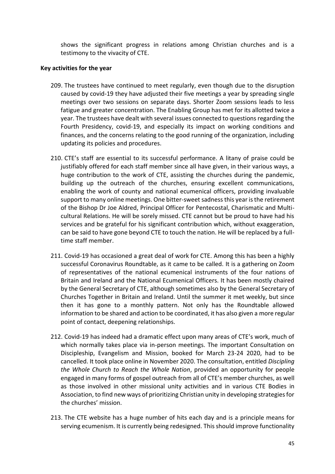shows the significant progress in relations among Christian churches and is a testimony to the vivacity of CTE.

#### **Key activities for the year**

- 209. The trustees have continued to meet regularly, even though due to the disruption caused by covid-19 they have adjusted their five meetings a year by spreading single meetings over two sessions on separate days. Shorter Zoom sessions leads to less fatigue and greater concentration. The Enabling Group has met for its allotted twice a year. The trustees have dealt with several issues connected to questions regarding the Fourth Presidency, covid-19, and especially its impact on working conditions and finances, and the concerns relating to the good running of the organization, including updating its policies and procedures.
- 210. CTE's staff are essential to its successful performance. A litany of praise could be justifiably offered for each staff member since all have given, in their various ways, a huge contribution to the work of CTE, assisting the churches during the pandemic, building up the outreach of the churches, ensuring excellent communications, enabling the work of county and national ecumenical officers, providing invaluable support to many online meetings. One bitter-sweet sadness this year is the retirement of the Bishop Dr Joe Aldred, Principal Officer for Pentecostal, Charismatic and Multicultural Relations. He will be sorely missed. CTE cannot but be proud to have had his services and be grateful for his significant contribution which, without exaggeration, can be said to have gone beyond CTE to touch the nation. He will be replaced by a fulltime staff member.
- 211. Covid-19 has occasioned a great deal of work for CTE. Among this has been a highly successful Coronavirus Roundtable, as it came to be called. It is a gathering on Zoom of representatives of the national ecumenical instruments of the four nations of Britain and Ireland and the National Ecumenical Officers. It has been mostly chaired by the General Secretary of CTE, although sometimes also by the General Secretary of Churches Together in Britain and Ireland. Until the summer it met weekly, but since then it has gone to a monthly pattern. Not only has the Roundtable allowed information to be shared and action to be coordinated, it has also given a more regular point of contact, deepening relationships.
- 212. Covid-19 has indeed had a dramatic effect upon many areas of CTE's work, much of which normally takes place via in-person meetings. The important Consultation on Discipleship, Evangelism and Mission, booked for March 23-24 2020, had to be cancelled. It took place online in November 2020. The consultation, entitled *Discipling the Whole Church to Reach the Whole Nation*, provided an opportunity for people engaged in many forms of gospel outreach from all of CTE's member churches, as well as those involved in other missional unity activities and in various CTE Bodies in Association, to find new ways of prioritizing Christian unity in developing strategies for the churches' mission.
- 213. The CTE website has a huge number of hits each day and is a principle means for serving ecumenism. It is currently being redesigned. This should improve functionality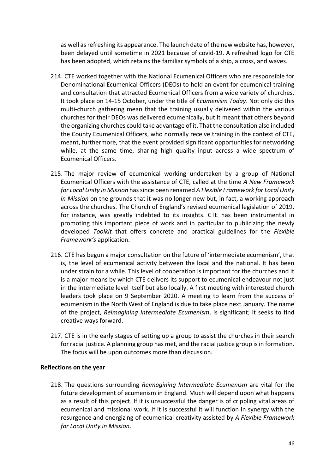as well as refreshing its appearance. The launch date of the new website has, however, been delayed until sometime in 2021 because of covid-19. A refreshed logo for CTE has been adopted, which retains the familiar symbols of a ship, a cross, and waves.

- 214. CTE worked together with the National Ecumenical Officers who are responsible for Denominational Ecumenical Officers (DEOs) to hold an event for ecumenical training and consultation that attracted Ecumenical Officers from a wide variety of churches. It took place on 14-15 October, under the title of *Ecumenism Today*. Not only did this multi-church gathering mean that the training usually delivered within the various churches for their DEOs was delivered ecumenically, but it meant that others beyond the organizing churches could take advantage of it. That the consultation also included the County Ecumenical Officers, who normally receive training in the context of CTE, meant, furthermore, that the event provided significant opportunities for networking while, at the same time, sharing high quality input across a wide spectrum of Ecumenical Officers.
- 215. The major review of ecumenical working undertaken by a group of National Ecumenical Officers with the assistance of CTE, called at the time *A New Framework for Local Unity in Mission* has since been renamed *A Flexible Framework for Local Unity in Mission* on the grounds that it was no longer new but, in fact, a working approach across the churches. The Church of England's revised ecumenical legislation of 2019, for instance, was greatly indebted to its insights. CTE has been instrumental in promoting this important piece of work and in particular to publicizing the newly developed *Toolkit* that offers concrete and practical guidelines for the *Flexible Framework's* application.
- 216. CTE has begun a major consultation on the future of 'intermediate ecumenism', that is, the level of ecumenical activity between the local and the national. It has been under strain for a while. This level of cooperation is important for the churches and it is a major means by which CTE delivers its support to ecumenical endeavour not just in the intermediate level itself but also locally. A first meeting with interested church leaders took place on 9 September 2020. A meeting to learn from the success of ecumenism in the North West of England is due to take place next January. The name of the project, *Reimagining Intermediate Ecumenism*, is significant; it seeks to find creative ways forward.
- 217. CTE is in the early stages of setting up a group to assist the churches in their search for racial justice. A planning group has met, and the racial justice group is in formation. The focus will be upon outcomes more than discussion.

#### **Reflections on the year**

218. The questions surrounding *Reimagining Intermediate Ecumenism* are vital for the future development of ecumenism in England. Much will depend upon what happens as a result of this project. If it is unsuccessful the danger is of crippling vital areas of ecumenical and missional work. If it is successful it will function in synergy with the resurgence and energizing of ecumenical creativity assisted by *A Flexible Framework for Local Unity in Mission*.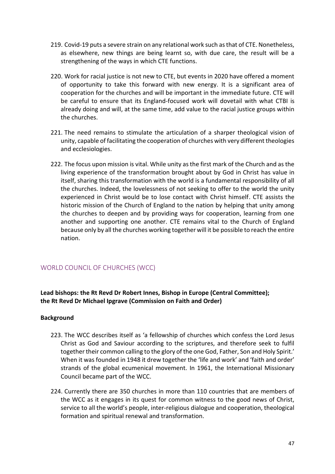- 219. Covid-19 puts a severe strain on any relational work such as that of CTE. Nonetheless, as elsewhere, new things are being learnt so, with due care, the result will be a strengthening of the ways in which CTE functions.
- 220. Work for racial justice is not new to CTE, but events in 2020 have offered a moment of opportunity to take this forward with new energy. It is a significant area of cooperation for the churches and will be important in the immediate future. CTE will be careful to ensure that its England-focused work will dovetail with what CTBI is already doing and will, at the same time, add value to the racial justice groups within the churches.
- 221. The need remains to stimulate the articulation of a sharper theological vision of unity, capable of facilitating the cooperation of churches with very different theologies and ecclesiologies.
- 222. The focus upon mission is vital. While unity as the first mark of the Church and as the living experience of the transformation brought about by God in Christ has value in itself, sharing this transformation with the world is a fundamental responsibility of all the churches. Indeed, the lovelessness of not seeking to offer to the world the unity experienced in Christ would be to lose contact with Christ himself. CTE assists the historic mission of the Church of England to the nation by helping that unity among the churches to deepen and by providing ways for cooperation, learning from one another and supporting one another. CTE remains vital to the Church of England because only by all the churches working together will it be possible to reach the entire nation.

## <span id="page-46-0"></span>WORLD COUNCIL OF CHURCHES (WCC)

## **Lead bishops: the Rt Revd Dr Robert Innes, Bishop in Europe (Central Committee); the Rt Revd Dr Michael Ipgrave (Commission on Faith and Order)**

#### **Background**

- 223. The WCC describes itself as 'a fellowship of churches which confess the Lord Jesus Christ as God and Saviour according to the scriptures, and therefore seek to fulfil together their common calling to the glory of the one God, Father, Son and Holy Spirit.' When it was founded in 1948 it drew together the 'life and work' and 'faith and order' strands of the global ecumenical movement. In 1961, the International Missionary Council became part of the WCC.
- 224. Currently there are 350 churches in more than 110 countries that are members of the WCC as it engages in its quest for common witness to the good news of Christ, service to all the world's people, inter-religious dialogue and cooperation, theological formation and spiritual renewal and transformation.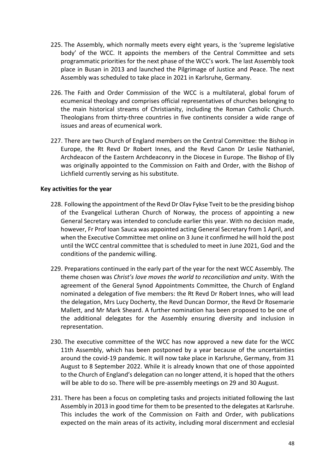- 225. The Assembly, which normally meets every eight years, is the 'supreme legislative body' of the WCC. It appoints the members of the Central Committee and sets programmatic priorities for the next phase of the WCC's work. The last Assembly took place in Busan in 2013 and launched the Pilgrimage of Justice and Peace. The next Assembly was scheduled to take place in 2021 in Karlsruhe, Germany.
- 226. The Faith and Order Commission of the WCC is a multilateral, global forum of ecumenical theology and comprises official representatives of churches belonging to the main historical streams of Christianity, including the Roman Catholic Church. Theologians from thirty-three countries in five continents consider a wide range of issues and areas of ecumenical work.
- 227. There are two Church of England members on the Central Committee: the Bishop in Europe, the Rt Revd Dr Robert Innes, and the Revd Canon Dr Leslie Nathaniel, Archdeacon of the Eastern Archdeaconry in the Diocese in Europe. The Bishop of Ely was originally appointed to the Commission on Faith and Order, with the Bishop of Lichfield currently serving as his substitute.

#### **Key activities for the year**

- 228. Following the appointment of the Revd Dr Olav Fykse Tveit to be the presiding bishop of the Evangelical Lutheran Church of Norway, the process of appointing a new General Secretary was intended to conclude earlier this year. With no decision made, however, Fr Prof Ioan Sauca was appointed acting General Secretary from 1 April, and when the Executive Committee met online on 3 June it confirmed he will hold the post until the WCC central committee that is scheduled to meet in June 2021, God and the conditions of the pandemic willing.
- 229. Preparations continued in the early part of the year for the next WCC Assembly. The theme chosen was *Christ's love moves the world to reconciliation and unity*. With the agreement of the General Synod Appointments Committee, the Church of England nominated a delegation of five members: the Rt Revd Dr Robert Innes, who will lead the delegation, Mrs Lucy Docherty, the Revd Duncan Dormor, the Revd Dr Rosemarie Mallett, and Mr Mark Sheard. A further nomination has been proposed to be one of the additional delegates for the Assembly ensuring diversity and inclusion in representation.
- 230. The executive committee of the WCC has now approved a new date for the WCC 11th Assembly, which has been postponed by a year because of the uncertainties around the covid-19 pandemic. It will now take place in Karlsruhe, Germany, from 31 August to 8 September 2022. While it is already known that one of those appointed to the Church of England's delegation can no longer attend, it is hoped that the others will be able to do so. There will be pre-assembly meetings on 29 and 30 August.
- 231. There has been a focus on completing tasks and projects initiated following the last Assembly in 2013 in good time for them to be presented to the delegates at Karlsruhe. This includes the work of the Commission on Faith and Order, with publications expected on the main areas of its activity, including moral discernment and ecclesial